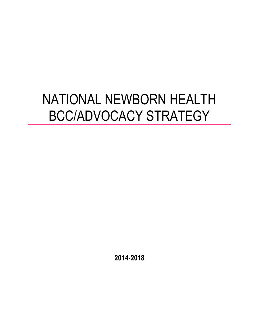# NATIONAL NEWBORN HEALTH BCC/ADVOCACY STRATEGY

**2014-2018**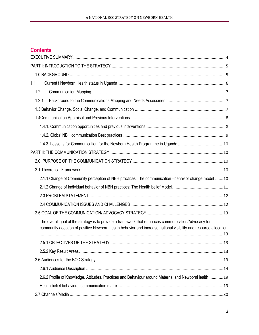# **Contents**

| 1.1                                                                                                                                                                                                                    |  |
|------------------------------------------------------------------------------------------------------------------------------------------------------------------------------------------------------------------------|--|
| 1.2                                                                                                                                                                                                                    |  |
| 1.2.1                                                                                                                                                                                                                  |  |
|                                                                                                                                                                                                                        |  |
|                                                                                                                                                                                                                        |  |
|                                                                                                                                                                                                                        |  |
|                                                                                                                                                                                                                        |  |
| 1.4.3. Lessons for Communication for the Newborn Health Programme in Uganda 10                                                                                                                                         |  |
|                                                                                                                                                                                                                        |  |
|                                                                                                                                                                                                                        |  |
|                                                                                                                                                                                                                        |  |
| 2.1.1 Change of Community perception of NBH practices: The communication -behavior change model 10                                                                                                                     |  |
|                                                                                                                                                                                                                        |  |
|                                                                                                                                                                                                                        |  |
|                                                                                                                                                                                                                        |  |
|                                                                                                                                                                                                                        |  |
| The overall goal of the strategy is to provide a framework that enhances communication/Advocacy for<br>community adoption of positive Newborn health behavior and increase national visibility and resource allocation |  |
|                                                                                                                                                                                                                        |  |
|                                                                                                                                                                                                                        |  |
|                                                                                                                                                                                                                        |  |
|                                                                                                                                                                                                                        |  |
| 2.6.2 Profile of Knowledge, Attitudes, Practices and Behaviour around Maternal and NewbornHealth 19                                                                                                                    |  |
|                                                                                                                                                                                                                        |  |
|                                                                                                                                                                                                                        |  |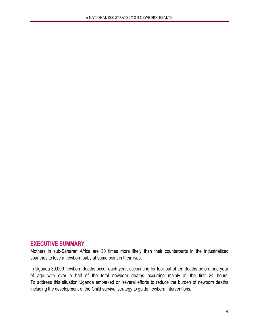# **EXECUTIVE SUMMARY**

Mothers in sub-Saharan Africa are 30 times more likely than their counterparts in the industrialized countries to lose a newborn baby at some point in their lives.

A NATIONAL BCC STRATEGY ON NEWBORN HEALTH

In Uganda 39,000 newborn deaths occur each year, accounting for four out of ten deaths before one year of age with over a half of the total newborn deaths occurring mainly in the first 24 hours. To address this situation Uganda embarked on several efforts to reduce the burden of newborn deaths including the development of the Child survival strategy to guide newborn interventions.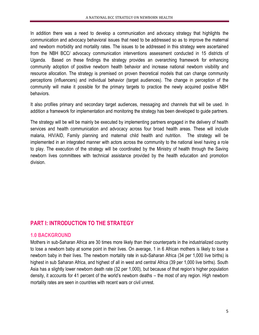In addition there was a need to develop a communication and advocacy strategy that highlights the communication and advocacy behavioral issues that need to be addressed so as to improve the maternal and newborn morbidity and mortality rates. The issues to be addressed in this strategy were ascertained from the NBH BCC/ advocacy communication interventions assessment conducted in 15 districts of Uganda. Based on these findings the strategy provides an overarching framework for enhancing community adoption of positive newborn health behavior and increase national newborn visibility and resource allocation. The strategy is premised on proven theoretical models that can change community perceptions (influencers) and individual behavior (target audiences). The change in perception of the community will make it possible for the primary targets to practice the newly acquired positive NBH behaviors.

It also profiles primary and secondary target audiences, messaging and channels that will be used. In addition a framework for implementation and monitoring the strategy has been developed to guide partners.

The strategy will be will be mainly be executed by implementing partners engaged in the delivery of health services and health communication and advocacy across four broad health areas. These will include malaria, HIV/AID, Family planning and maternal child health and nutrition. The strategy will be implemented in an integrated manner with actors across the community to the national level having a role to play. The execution of the strategy will be coordinated by the Ministry of health through the Saving newborn lives committees with technical assistance provided by the health education and promotion division.

# **PART I: INTRODUCTION TO THE STRATEGY**

# **1.0 BACKGROUND**

Mothers in sub-Saharan Africa are 30 times more likely than their counterparts in the industrialized country to lose a newborn baby at some point in their lives. On average, 1 in 6 African mothers is likely to lose a newborn baby in their lives. The newborn mortality rate in sub-Saharan Africa (34 per 1,000 live births) is highest in sub Saharan Africa, and highest of all in west and central Africa (39 per 1,000 live births). South Asia has a slightly lower newborn death rate (32 per 1,000), but because of that region's higher population density, it accounts for 41 percent of the world's newborn deaths – the most of any region. High newborn mortality rates are seen in countries with recent wars or civil unrest.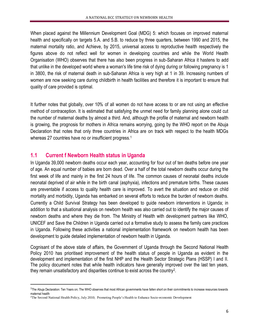When placed against the Millennium Development Goal (MDG) 5: which focuses on improved maternal health and specifically on targets 5.A. and 5.B. to reduce by three quarters, between 1990 and 2015, the maternal mortality ratio, and Achieve, by 2015, universal access to reproductive health respectively the figures above do not reflect well for women in developing countries and while the World Health Organisation (WHO) observes that there has also been progress in sub-Saharan Africa it hastens to add that unlike in the developed world where a woman's life time risk of dying during or following pregnancy is 1 in 3800, the risk of maternal death in sub-Saharan Africa is very high at 1 in 39. Increasing numbers of women are now seeking care during childbirth in health facilities and therefore it is important to ensure that quality of care provided is optimal.

It further notes that globally, over 10% of all women do not have access to or are not using an effective method of contraception. It is estimated that satisfying the unmet need for family planning alone could cut the number of maternal deaths by almost a third. And, although the profile of maternal and newborn health is growing, the prognosis for mothers in Africa remains worrying, going by the WHO report on the Abuja Declaration that notes that only three countries in Africa are on track with respect to the health MDGs whereas 27 countries have no or insufficient progress.<sup>1</sup>

# **1.1 Current f Newborn Health status in Uganda**

 $\overline{\phantom{a}}$ 

In Uganda 39,000 newborn deaths occur each year, accounting for four out of ten deaths before one year of age. An equal number of babies are born dead. Over a half of the total newborn deaths occur during the first week of life and mainly in the first 24 hours of life. The common causes of neonatal deaths include neonatal deprived of air while in the birth canal (asphyxia), infections and premature births. These causes are preventable if access to quality health care is improved. To avert the situation and reduce on child mortality and morbidity, Uganda has embarked on several efforts to reduce the burden of newborn deaths. Currently a Child Survival Strategy has been developed to guide newborn interventions in Uganda; in addition to that a situational analysis on newborn health was also carried out to identify the major causes of newborn deaths and where they die from. The Ministry of Health with development partners like WHO, UNICEF and Save the Children in Uganda carried out a formative study to assess the family care practices in Uganda. Following these activities a national implementation framework on newborn health has been development to guide detailed implementation of newborn health in Uganda.

Cognisant of the above state of affairs, the Government of Uganda through the Second National Health Policy 2010 has prioritised improvement of the health status of people in Uganda as evident in the development and implementation of the first NHP and the Health Sector Strategic Plans (HSSP) I and II. The policy document notes that while health indicators have generally improved over the last ten years, they remain unsatisfactory and disparities continue to exist across the country<sup>2</sup>.

<sup>&</sup>lt;sup>1</sup>The Abuja Declaration: Ten Years on; The WHO observes that most African governments have fallen short on their commitments to increase resources towards maternal health

<sup>2</sup>The Second National Health Policy, July 2010; Promoting People's Health to Enhance Socio-economic Development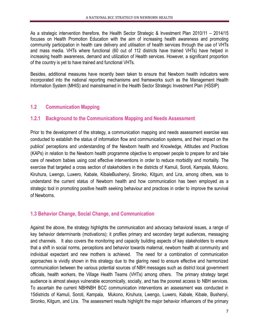As a strategic intervention therefore, the Health Sector Strategic & Investment Plan 2010/11 – 2014/15 focuses on Health Promotion Education with the aim of increasing health awareness and promoting community participation in health care delivery and utilisation of health services through the use of VHTs and mass media. VHTs where functional (60 out of 112 districts have trained VHTs) have helped in increasing health awareness, demand and utilization of Health services. However, a significant proportion of the country is yet to have trained and functional VHTs.

Besides, additional measures have recently been taken to ensure that Newborn health indicators were incorporated into the national reporting mechanisms and frameworks such as the Management Health Information System (MHIS) and mainstreamed in the Health Sector Strategic Investment Plan (HSSIP)

# **1.2 Communication Mapping**

# **1.2.1 Background to the Communications Mapping and Needs Assessment**

Prior to the development of the strategy, a communication mapping and needs assessment exercise was conducted to establish the status of information flow and communication systems, and their impact on the publics' perceptions and understanding of the Newborn health and Knowledge, Attitudes and Practices (KAPs) in relation to the Newborn health programme objective to empower people to prepare for and take care of newborn babies using cost effective interventions in order to reduce morbidity and mortality. The exercise that targeted a cross section of stakeholders in the districts of Kamuli, Soroti, Kampala, Mukono, Kiruhura, Lwengo, Luwero, Kabale, KibaleBushenyi, Sironko, Kitgum, and Lira, among others, was to understand the current status of Newborn health and how communication has been employed as a strategic tool in promoting positive health seeking behaviour and practices in order to improve the survival of Newborns.

# **1.3 Behavior Change, Social Change, and Communication**

Against the above, the strategy highlights the communication and advocacy behavioral issues, a range of key behavior determinants (motivations); it profiles primary and secondary target audiences, messaging and channels. It also covers the monitoring and capacity building aspects of key stakeholders to ensure that a shift in social norms, perceptions and behavior towards maternal, newborn health at community and individual expectant and new mothers is achieved. The need for a combination of communication approaches is vividly shown in this strategy due to the glaring need to ensure effective and harmonized communication between the various potential sources of NBH messages such as district local government officials, health workers, the Village Health Teams (VHTs) among others. The primary strategy target audience is almost always vulnerable economically, socially, and has the poorest access to NBH services. To ascertain the current NBHNBH BCC communication interventions an assessment was conducted in 15districts of Kamuli, Soroti, Kampala, Mukono, Kiruhura, Lwengo, Luwero, Kabale, Kibale, Bushenyi, Sironko, Kitgum, and Lira. The assessment results highlight the major behavior influencers of the primary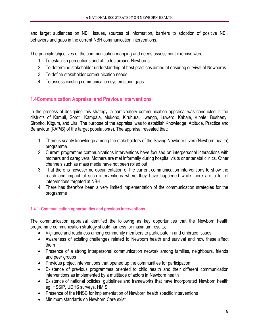and target audiences on NBH issues, sources of information, barriers to adoption of positive NBH behaviors and gaps in the current NBH communication interventions.

The principle objectives of the communication mapping and needs assessment exercise were:

- 1. To establish perceptions and attitudes around Newborns
- 2. To determine stakeholder understanding of best practices aimed at ensuring survival of Newborns
- 3. To define stakeholder communication needs
- 4. To assess existing communication systems and gaps

# **1.4Communication Appraisal and Previous Interventions**

In the process of designing this strategy, a participatory communication appraisal was conducted in the districts of Kamuli, Soroti, Kampala, Mukono, Kiruhura, Lwengo, Luwero, Kabale, Kibale, Bushenyi, Sironko, Kitgum, and Lira. The purpose of the appraisal was to establish Knowledge, Attitude, Practice and Behaviour (KAP/B) of the target population(s). The appraisal revealed that;

- 1. There is scanty knowledge among the stakeholders of the Saving Newborn Lives (Newborn health) programme
- 2. Current programme communications interventions have focused on interpersonal interactions with mothers and caregivers. Mothers are met informally during hospital visits or antenatal clinics. Other channels such as mass media have not been rolled out
- 3. That there is however no documentation of the current communication interventions to show the reach and impact of such interventions where they have happened while there are a lot of interventions targeted at NBH
- 4. There has therefore been a very limited implementation of the communication strategies for the programme

# **1.4.1. Communication opportunities and previous interventions**

The communication appraisal identified the following as key opportunities that the Newborn health programme communication strategy should harness for maximum results;

- Vigilance and readiness among community members to participate in and embrace issues
- Awareness of existing challenges related to Newborn health and survival and how these affect them
- Presence of a strong interpersonal communication network among families, neighbours, friends and peer groups
- Previous project interventions that opened up the communities for participation
- Existence of previous programmes oriented to child health and their different communication interventions as implemented by a multitude of actors in Newborn health
- Existence of national policies, guidelines and frameworks that have incorporated Newborn health eg, HSSIP, UDHS surveys, HMIS
- Presence of the NNSC for implementation of Newborn health specific interventions
- Minimum standards on Newborn Care exist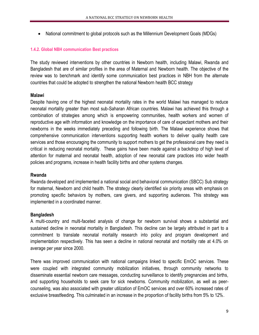• National commitment to global protocols such as the Millennium Development Goals (MDGs)

## **1.4.2. Global NBH communication Best practices**

The study reviewed interventions by other countries in Newborn health, including Malawi, Rwanda and Bangladesh that are of similar profiles in the area of Maternal and Newborn health. The objective of the review was to benchmark and identify some communication best practices in NBH from the alternate countries that could be adopted to strengthen the national Newborn health BCC strategy

## **Malawi**

Despite having one of the highest neonatal mortality rates in the world Malawi has managed to reduce neonatal mortality greater than most sub-Saharan African countries. Malawi has achieved this through a combination of strategies among which is empowering communities, health workers and women of reproductive age with information and knowledge on the importance of care of expectant mothers and their newborns in the weeks immediately preceding and following birth. The Malawi experience shows that comprehensive communication interventions supporting health workers to deliver quality health care services and those encouraging the community to support mothers to get the professional care they need is critical in reducing neonatal mortality. These gains have been made against a backdrop of high level of attention for maternal and neonatal health, adoption of new neonatal care practices into wider health policies and programs, increase in health facility births and other systems changes.

## **Rwanda**

Rwanda developed and implemented a national social and behavioral communication (SBCC) Sub strategy for maternal, Newborn and child health. The strategy clearly identified six priority areas with emphasis on promoting specific behaviors by mothers, care givers, and supporting audiences. This strategy was implemented in a coordinated manner.

# **Bangladesh**

A multi-country and multi-faceted analysis of change for newborn survival shows a substantial and sustained decline in neonatal mortality in Bangladesh. This decline can be largely attributed in part to a commitment to translate neonatal mortality research into policy and program development and implementation respectively. This has seen a decline in national neonatal and mortality rate at 4.0% on average per year since 2000.

There was improved communication with national campaigns linked to specific EmOC services. These were coupled with integrated community mobilization initiatives, through community networks to disseminate essential newborn care messages, conducting surveillance to identify pregnancies and births, and supporting households to seek care for sick newborns. Community mobilization, as well as peercounseling, was also associated with greater utilization of EmOC services and over 60% increased rates of exclusive breastfeeding. This culminated in an increase in the proportion of facility births from 5% to 12%.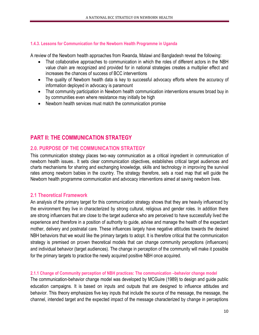## **1.4.3. Lessons for Communication for the Newborn Health Programme in Uganda**

A review of the Newborn health approaches from Rwanda, Malawi and Bangladesh reveal the following:

- That collaborative approaches to communication in which the roles of different actors in the NBH value chain are recognized and provided for in national strategies creates a multiplier effect and increases the chances of success of BCC interventions
- The quality of Newborn health data is key to successful advocacy efforts where the accuracy of information deployed in advocacy is paramount
- That community participation in Newborn health communication interventions ensures broad buy in by communities even where resistance may initially be high
- Newborn health services must match the communication promise

# **PART II: THE COMMUNICATION STRATEGY**

# **2.0. PURPOSE OF THE COMMUNICATION STRATEGY**

This communication strategy places two-way communication as a critical ingredient in communication of newborn health issues.. It sets clear communication objectives, establishes critical target audiences and charts mechanisms for sharing and exchanging knowledge, skills and technology in improving the survival rates among newborn babies in the country. The strategy therefore, sets a road map that will guide the Newborn health programme communication and advocacy interventions aimed at saving newborn lives.

# **2.1 Theoretical Framework**

An analysis of the primary target for this communication strategy shows that they are heavily influenced by the environment they live in characterized by strong cultural, religious and gender roles. In addition there are strong influencers that are close to the target audience who are perceived to have successfully lived the experience and therefore in a position of authority to guide, advise and manage the health of the expectant mother, delivery and postnatal care. These influences largely have negative attitudes towards the desired NBH behaviors that we would like the primary targets to adopt. It is therefore critical that the communication strategy is premised on proven theoretical models that can change community perceptions (influencers) and individual behavior (target audiences). The change in perception of the community will make it possible for the primary targets to practice the newly acquired positive NBH once acquired.

# **2.1.1 Change of Community perception of NBH practices: The communication –behavior change model**

The communication-behavior change model was developed by MCGuire (1989) to design and guide public education campaigns. It is based on inputs and outputs that are designed to influence attitudes and behavior. This theory emphasizes five key inputs that include the source of the message, the message, the channel, intended target and the expected impact of the message characterized by change in perceptions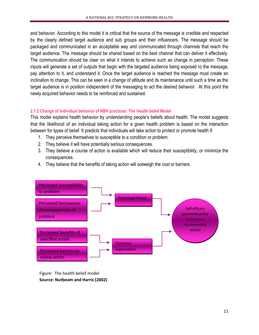and behavior. According to this model it is critical that the source of the message is credible and respected by the clearly defined target audience and sub groups and their influencers. The message should be packaged and communicated in an acceptable way and communicated through channels that reach the target audience. The message should be shared based on the best channel that can deliver it effectively. The communication should be clear on what it intends to achieve such as change in perception. These inputs will generate a set of outputs that begin with the targeted audience being exposed to the message, pay attention to it, and understand it. Once the target audience is reached the message must create an inclination to change. This can be seen in a change of attitude and its maintenance until such a time as the target audience is in position independent of the messaging to act the desired behavior. At this point the newly acquired behavior needs to be reinforced and sustained.

## **2.1.2 Change of Individual behavior of NBH practices: The Health belief Model**

This model explains health behavior by understanding people's beliefs about health. The model suggests that the likelihood of an individual taking action for a given health problem is based on the interaction between for types of belief. It predicts that individuals will take action to protect or promote health if:

- 1. They perceive themselves to susceptible to a condition or problem.
- 2. They believe it will have potentially serious consequences.
- 3. They believe a course of action is available which will reduce their susceptibility, or minimize the consequences.
- 4. They believe that the benefits of taking action will outweigh the cost or barriers.



Figure: The health belief model **Source: Nutbeam and Harris (2002)**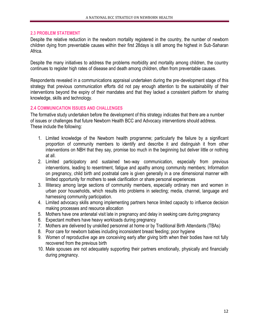#### **2.3 PROBLEM STATEMENT**

Despite the relative reduction in the newborn mortality registered in the country, the number of newborn children dying from preventable causes within their first 28days is still among the highest in Sub-Saharan Africa.

Despite the many initiatives to address the problems morbidity and mortality among children, the country continues to register high rates of disease and death among children, often from preventable causes.

Respondents revealed in a communications appraisal undertaken during the pre‐development stage of this strategy that previous communication efforts did not pay enough attention to the sustainability of their interventions beyond the expiry of their mandates and that they lacked a consistent platform for sharing knowledge, skills and technology.

## **2.4 COMMUNICATION ISSUES AND CHALLENGES**

The formative study undertaken before the development of this strategy indicates that there are a number of issues or challenges that future Newborn Health BCC and Advocacy interventions should address. These include the following:

- 1. Limited knowledge of the Newborn health programme; particularly the failure by a significant proportion of community members to identify and describe it and distinguish it from other interventions on NBH that they say, promise too much in the beginning but deliver little or nothing at all.
- 2. Limited participatory and sustained two-way communication, especially from previous interventions, leading to resentment, fatigue and apathy among community members; Information on pregnancy, child birth and postnatal care is given generally in a one dimensional manner with limited opportunity for mothers to seek clarification or share personal experiences
- 3. Illiteracy among large sections of community members, especially ordinary men and women in urban poor households, which results into problems in selecting; media, channel, language and harnessing community participation.
- 4. Limited advocacy skills among implementing partners hence limited capacity to influence decision making processes and resource allocation
- 5. Mothers have one antenatal visit late in pregnancy and delay in seeking care during pregnancy
- 6. Expectant mothers have heavy workloads during pregnancy
- 7. Mothers are delivered by unskilled personnel at home or by Traditional Birth Attendants (TBAs)
- 8. Poor care for newborn babies including inconsistent breast feeding; poor hygiene
- 9. Women of reproductive age are conceiving early after giving birth when their bodies have not fully recovered from the previous birth
- 10. Male spouses are not adequately supporting their partners emotionally, physically and financially during pregnancy.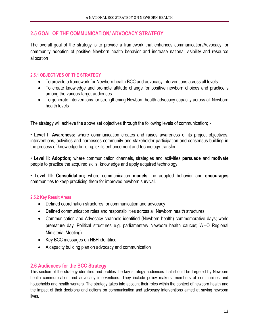# **2.5 GOAL OF THE COMMUNICATION/ ADVOCACY STRATEGY**

The overall goal of the strategy is to provide a framework that enhances communication/Advocacy for community adoption of positive Newborn health behavior and increase national visibility and resource allocation

## **2.5.1 OBJECTIVES OF THE STRATEGY**

- To provide a framework for Newborn health BCC and advocacy interventions across all levels
- To create knowledge and promote attitude change for positive newborn choices and practice s among the various target audiences
- To generate interventions for strengthening Newborn health advocacy capacity across all Newborn health levels

The strategy will achieve the above set objectives through the following levels of communication; -

• **Level I: Awareness;** where communication creates and raises awareness of its project objectives, interventions, activities and harnesses community and stakeholder participation and consensus building in the process of knowledge building, skills enhancement and technology transfer.

• **Level II: Adoption;** where communication channels, strategies and activities **persuade** and **motivate**  people to practice the acquired skills, knowledge and apply acquired technology

• **Level III: Consolidation;** where communication **models** the adopted behavior and **encourages**  communities to keep practicing them for improved newborn survival.

# **2.5.2 Key Result Areas**

- Defined coordination structures for communication and advocacy
- Defined communication roles and responsibilities across all Newborn health structures
- Communication and Advocacy channels identified (Newborn health) commemorative days; world premature day, Political structures e.g. parliamentary Newborn health caucus; WHO Regional Ministerial Meeting)
- Key BCC messages on NBH identified
- A capacity building plan on advocacy and communication

# **2.6 Audiences for the BCC Strategy**

This section of the strategy identifies and profiles the key strategy audiences that should be targeted by Newborn health communication and advocacy interventions. They include policy makers, members of communities and households and health workers. The strategy takes into account their roles within the context of newborn health and the impact of their decisions and actions on communication and advocacy interventions aimed at saving newborn lives.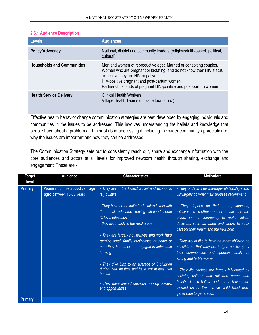## **2.6.1 Audience Description**

| <b>Levels</b>                     | <b>Audiences</b>                                                                                                                                                                                                                                                                                   |
|-----------------------------------|----------------------------------------------------------------------------------------------------------------------------------------------------------------------------------------------------------------------------------------------------------------------------------------------------|
| Policy/Advocacy                   | National, district and community leaders (religious/faith-based, political,<br>cultural)                                                                                                                                                                                                           |
| <b>Households and Communities</b> | Men and women of reproductive age: Married or cohabiting couples.<br>Women who are pregnant or lactating, and do not know their HIV status<br>or believe they are HIV-negative.<br>HIV-positive pregnant and post-partum women<br>Partners/husbands of pregnant HIV-positive and post-partum women |
| <b>Health Service Delivery</b>    | <b>Clinical Health Workers</b><br>Village Health Teams (Linkage facilitators)                                                                                                                                                                                                                      |

Effective health behavior change communication strategies are best developed by engaging individuals and communities in the issues to be addressed. This involves understanding the beliefs and knowledge that people have about a problem and their skills in addressing it including the wider community appreciation of why the issues are important and how they can be addressed.

The Communication Strategy sets out to consistently reach out, share and exchange information with the core audiences and actors at all levels for improved newborn health through sharing, exchange and engagement. These are:-

| <b>Target</b>  | <b>Audience</b>                                          | <b>Characteristics</b>                                                                                                                                                                                  | <b>Motivators</b>                                                                                                                                                                                                        |
|----------------|----------------------------------------------------------|---------------------------------------------------------------------------------------------------------------------------------------------------------------------------------------------------------|--------------------------------------------------------------------------------------------------------------------------------------------------------------------------------------------------------------------------|
| level          |                                                          |                                                                                                                                                                                                         |                                                                                                                                                                                                                          |
| <b>Primary</b> | Women of reproductive<br>age<br>aged between 15-35 years | - They are in the lowest Social and economic<br>(D) quintile                                                                                                                                            | - They pride in their marriage/relationships and<br>will largely do what their spouses recommend                                                                                                                         |
|                |                                                          | - They have no or limited education levels with<br>the most educated having attained some<br>'O'level education<br>- they live mainly in the rural areas<br>- They are largely housewives and work hard | - They depend on their peers, spouses,<br>relatives i.e. mother, mother in law and the<br>elders in the community to make critical<br>decisions such as when and where to seek<br>care for their health and the new born |
|                |                                                          | running small family businesses at home or<br>near their homes or are engaged in substance<br>farming                                                                                                   | - They would like to have as many children as<br>possible so that they are judged positively by<br>their communities and spouses family as<br>strong and fertile women                                                   |
|                |                                                          | - They give birth to an average of 6 children<br>during their life time and have lost at least two<br>babies<br>- They have limited decision making powers                                              | - Their life choices are largely influenced by<br>societal, cultural and religious norms and<br>beliefs. These beliefs and norms have been                                                                               |
| <b>Primary</b> |                                                          | and opportunities                                                                                                                                                                                       | passed on to them since child hood from<br>generation to generation                                                                                                                                                      |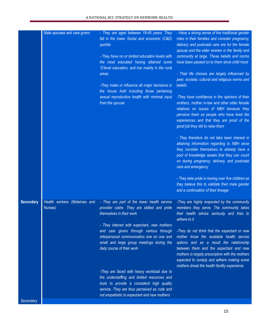| Health workers (Midwives and<br>- They are part of the lower health service<br>-They are highly respected by the community<br><b>Secondary</b><br>members they serve. The community takes<br>provider cadre. They are skilled and pride<br>Nurses)                                                                                                                                                                                                                                                                                                                                                                                                                                                                                                                                                                                                                                                  |  |
|-----------------------------------------------------------------------------------------------------------------------------------------------------------------------------------------------------------------------------------------------------------------------------------------------------------------------------------------------------------------------------------------------------------------------------------------------------------------------------------------------------------------------------------------------------------------------------------------------------------------------------------------------------------------------------------------------------------------------------------------------------------------------------------------------------------------------------------------------------------------------------------------------------|--|
| themselves in their work<br>their health advice seriously and tries to<br>adhere to it<br>- They interact with expectant, new mothers<br>and care givers through various through<br>-They do not think that the expectant or new<br>interpersonal communication one on one and<br>mother know the available health service<br>small and large group meetings during the<br>options and as a result the relationship<br>daily course of their work<br>between them and the expectant and new<br>mothers is largely prescriptive with the mothers<br>expected to comply and adhere making some<br>mothers dread the health facility experience<br>-They are faced with heavy workload due to<br>the understaffing and limited resources and<br>tools to provide a consistent high quality<br>service. They are thus perceived as rude and<br>not empathetic to expectant and new mothers<br>Secondary |  |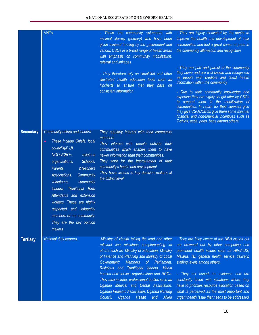|                  | <b>VHTs</b>                                                                                                                                                                                                                                                                                                                                                                                                                                   | - These are community volunteers with<br>minimal literacy (primary) who have been<br>given minimal training by the government and<br>various CSOs in a broad range of health areas<br>with emphasis on community mobilization,<br>referral and linkages<br>- They therefore rely on simplified and often<br>illustrated health education tools such as<br>flipcharts to ensure that they pass on<br>consistent information                                                                                                                        | - They are highly motivated by the desire to<br>improve the health and development of their<br>communities and feel a great sense of pride in<br>the community affirmation and recognition<br>- They are part and parcel of the community<br>they serve and are well known and recognized<br>as people with credible and latest health<br>information within the community<br>- Due to their community knowledge and<br>expertise they are highly sought after by CSOs<br>to support them in the mobilization of<br>communities. In return for their services give<br>they give CSOs/CBOs give them some minimal<br>financial and non-financial incentives such as<br>T-shirts, caps, pens, bags among others |
|------------------|-----------------------------------------------------------------------------------------------------------------------------------------------------------------------------------------------------------------------------------------------------------------------------------------------------------------------------------------------------------------------------------------------------------------------------------------------|---------------------------------------------------------------------------------------------------------------------------------------------------------------------------------------------------------------------------------------------------------------------------------------------------------------------------------------------------------------------------------------------------------------------------------------------------------------------------------------------------------------------------------------------------|---------------------------------------------------------------------------------------------------------------------------------------------------------------------------------------------------------------------------------------------------------------------------------------------------------------------------------------------------------------------------------------------------------------------------------------------------------------------------------------------------------------------------------------------------------------------------------------------------------------------------------------------------------------------------------------------------------------|
| <b>Secondary</b> | Community actors and leaders<br>These include Chiefs, local<br>$\bullet$<br>councils(iii, ii, i),<br>NGOs/CBOs,<br>religious<br>Schools,<br>organizations,<br>&Teachers<br><b>Parents</b><br>Associations,<br>Community<br>volunteers,<br>community<br>Traditional Birth<br>leaders,<br>Attendants and extension<br>workers. These are highly<br>respected and influential<br>members of the community.<br>They are the key opinion<br>makers | They regularly interact with their community<br>members<br>They interact with people outside their<br>communities which enables them to have<br>newer information than their communities.<br>They work for the improvement of their<br>community's health and development<br>They have access to key decision makers at<br>the district level                                                                                                                                                                                                     |                                                                                                                                                                                                                                                                                                                                                                                                                                                                                                                                                                                                                                                                                                               |
| <b>Tertiary</b>  | <b>National duty bearers</b>                                                                                                                                                                                                                                                                                                                                                                                                                  | -Ministry of Health taking the lead and other<br>relevant line ministries complementing its<br>efforts such as: Ministry of Education, Ministry<br>of Finance and Planning and Ministry of Local<br><b>Members</b><br>of Parliament.<br>Government;<br>Religious and Traditional leaders, Media<br>houses and service organizations and NGOs.<br>They also include: professional bodies such as<br>Uganda Medical and Dental Association,<br>Uganda Pediatric Association, Uganda Nursing<br>Council,<br>Uganda<br><b>Health</b><br>Allied<br>and | - They are fairly aware of the NBH issues but<br>are drowned out by other competing and<br>prominent health issues such as HIV/AIDS,<br>Malaria, TB, general health service delivery,<br>staffing levels among others<br>- They act based on evidence and are<br>constantly faced with situations where they<br>have to priorities resource allocation based on<br>what is perceived as the most important and<br>urgent health issue that needs to be addressed                                                                                                                                                                                                                                              |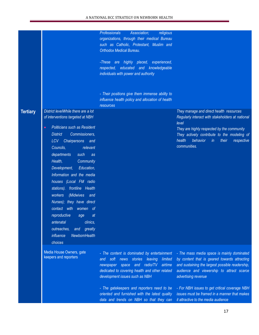|                 |                                                                                                                                                                                                                                                                                                                                                                                                                                                                                                                                                                                                                     | <b>Professionals</b><br>Association;<br>religious<br>organizations, through their medical Bureau<br>such as Catholic, Protestant, Muslim and<br><b>Orthodox Medical Bureau.</b><br>-These are highly placed,<br>experienced,<br>educated and knowledgeable<br>respected,<br>individuals with power and authority<br>- Their positions give them immense ability to<br>influence health policy and allocation of health |                                                                                                                                                                                                                                                                                                                                                           |
|-----------------|---------------------------------------------------------------------------------------------------------------------------------------------------------------------------------------------------------------------------------------------------------------------------------------------------------------------------------------------------------------------------------------------------------------------------------------------------------------------------------------------------------------------------------------------------------------------------------------------------------------------|------------------------------------------------------------------------------------------------------------------------------------------------------------------------------------------------------------------------------------------------------------------------------------------------------------------------------------------------------------------------------------------------------------------------|-----------------------------------------------------------------------------------------------------------------------------------------------------------------------------------------------------------------------------------------------------------------------------------------------------------------------------------------------------------|
| <b>Tertiary</b> | District levelWhile there are a lot<br>of interventions targeted at NBH<br>Politicians such as Resident<br>$\bullet$<br>Commissioners,<br><b>District</b><br>Chairpersons and<br>LCV -<br>Councils,<br>relevant<br>departments<br>such<br>as<br>Health,<br>Community<br>Education,<br>Development,<br>Information and the media<br>houses (Local FM radio<br>stations). frontline Health<br>(Midwives<br>workers<br>and<br>Nurses); they have direct<br>with<br>contact<br>women of<br>reproductive<br>at<br>age<br>antenatal<br>clinics,<br>outreaches,<br>greatly<br>and<br>NewbornHealth<br>influence<br>choices | resources                                                                                                                                                                                                                                                                                                                                                                                                              | They manage and direct health resources<br>Regularly interact with stakeholders at national<br>level<br>They are highly respected by the community<br>They actively contribute to the modeling of<br>health<br>behavior<br>$\mathsf{in}$<br>their<br>respective<br>communities.                                                                           |
|                 | Media House Owners, gate<br>keepers and reporters                                                                                                                                                                                                                                                                                                                                                                                                                                                                                                                                                                   | - The content is dominated by entertainment<br>stories<br>soft<br>news<br>leaving<br>limited<br>and<br>radio/TV<br>airtime<br>newspaper space and<br>dedicated to covering health and other related<br>development issues such as NBH<br>- The gatekeepers and reporters need to be<br>oriented and furnished with the latest quality<br>data and trends on NBH so that they can                                       | - The mass media space is mainly dominated<br>by content that is geared towards attracting<br>and sustaining the largest possible readership,<br>audience and viewership to attract scarce<br>advertising revenue<br>- For NBH issues to get critical coverage NBH<br>issues must be framed in a manner that makes<br>it attractive to the media audience |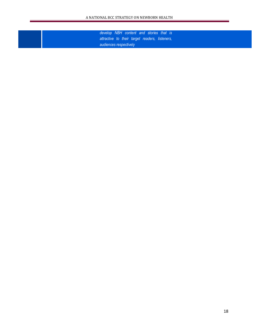*develop NBH content and stories that is attractive to their target readers, listeners, audiences respectively*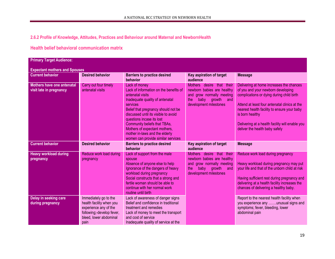**2.6.2 Profile of Knowledge, Attitudes, Practices and Behaviour around Maternal and NewbornHealth**

# **Health belief behavioral communication matrix**

| <b>Primary Target Audience:</b>                              |                                                                                                                                           |                                                                                                                                                                                                                                                                                                                                                                                 |                                                                                                                                                |                                                                                                                                                                                                                                                                                                                                     |  |
|--------------------------------------------------------------|-------------------------------------------------------------------------------------------------------------------------------------------|---------------------------------------------------------------------------------------------------------------------------------------------------------------------------------------------------------------------------------------------------------------------------------------------------------------------------------------------------------------------------------|------------------------------------------------------------------------------------------------------------------------------------------------|-------------------------------------------------------------------------------------------------------------------------------------------------------------------------------------------------------------------------------------------------------------------------------------------------------------------------------------|--|
| <b>Expectant mothers and Spouses</b>                         |                                                                                                                                           |                                                                                                                                                                                                                                                                                                                                                                                 |                                                                                                                                                |                                                                                                                                                                                                                                                                                                                                     |  |
| <b>Current behavior</b>                                      | <b>Desired behavior</b>                                                                                                                   | <b>Barriers to practice desired</b><br>behavior                                                                                                                                                                                                                                                                                                                                 | Key aspiration of target<br>audience                                                                                                           | <b>Message</b>                                                                                                                                                                                                                                                                                                                      |  |
| <b>Mothers have one antenatal</b><br>visit late in pregnancy | Carry out four timely<br>antenatal visits                                                                                                 | Lack of money<br>Lack of information on the benefits of<br>antenatal visits<br>Inadequate quality of antenatal<br>services<br>Belief that pregnancy should not be<br>discussed until its visible to avoid<br>questions incase its lost<br>Community beliefs that TBAs,<br>Mothers of expectant mothers,<br>mother in-laws and the elderly<br>women can provide similar services | Mothers desire that their<br>newborn babies are healthy<br>and grow normally meeting<br>baby<br>growth<br>the<br>and<br>development milestones | Delivering at home increases the chances<br>of you and your newborn developing<br>complications or dying during child birth<br>Attend at least four antenatal clinics at the<br>nearest health facility to ensure your baby<br>is born healthy<br>Delivering at a health facility will enable you<br>deliver the health baby safely |  |
| <b>Current behavior</b>                                      | <b>Desired behavior</b>                                                                                                                   | <b>Barriers to practice desired</b><br>behavior                                                                                                                                                                                                                                                                                                                                 | Key aspiration of target<br>audience                                                                                                           | <b>Message</b>                                                                                                                                                                                                                                                                                                                      |  |
| <b>Heavy workload during</b><br>pregnancy                    | Reduce work load during<br>pregnancy                                                                                                      | Lack of support from the male<br>spouse<br>Absence of anyone else to help<br>Ignorance of the dangers of heavy<br>workload during pregnancy<br>Social constructs that a strong and<br>fertile woman should be able to<br>continue with her normal work<br>routine until birth                                                                                                   | Mothers desire that their<br>newborn babies are healthy<br>and grow normally meeting<br>baby<br>growth<br>the<br>and<br>development milestones | Reduce work load during pregnancy<br>Heavy workload during pregnancy may put<br>your life and that of the unborn child at risk<br>Having sufficient rest during pregnancy and<br>delivering at a health facility increases the<br>chances of delivering a healthy baby.                                                             |  |
| Delay in seeking care<br>during pregnancy                    | Immediately go to the<br>health facility when you<br>experience any of the<br>following;-develop fever,<br>bleed, lower abdominal<br>pain | Lack of awareness of danger signs<br>Belief and confidence in traditional<br>treatment and remedies<br>Lack of money to meet the transport<br>and cost of service<br>Inadequate quality of service at the                                                                                                                                                                       |                                                                                                                                                | Report to the nearest health facility when<br>you experience any unusual signs and<br>symptoms; fever, bleeding, lower<br>abdominal pain                                                                                                                                                                                            |  |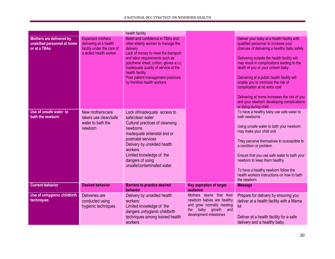|                                                                         |                                                                                                             | health facility                                                                                                                                                                                                                                                                                                                      |                                                                                                                                             |                                                                                                                                                                                                                                                                                                                                                                                                                                                                                                                 |
|-------------------------------------------------------------------------|-------------------------------------------------------------------------------------------------------------|--------------------------------------------------------------------------------------------------------------------------------------------------------------------------------------------------------------------------------------------------------------------------------------------------------------------------------------|---------------------------------------------------------------------------------------------------------------------------------------------|-----------------------------------------------------------------------------------------------------------------------------------------------------------------------------------------------------------------------------------------------------------------------------------------------------------------------------------------------------------------------------------------------------------------------------------------------------------------------------------------------------------------|
| Mothers are delivered by<br>unskilled personnel at home<br>or at a TBAs | <b>Expectant mothers</b><br>delivering at a health<br>facility under the care of<br>a skilled health worker | Belief and confidence in TBAs and<br>other elderly women to manage the<br>delivery<br>Lack of money to meet the transport<br>and labor requirements such as<br>polythene sheet, cotton, gloves e.t.c.<br>Inadequate quality of service at the<br>health facility<br>Poor patient management practices<br>by frontline health workers |                                                                                                                                             | Deliver your baby at a health facility with<br>qualified personnel to increase your<br>chances of delivering a healthy baby safely<br>Delivering outside the health facility will<br>may result in complications leading to the<br>death of you or your unborn baby<br>Delivering at a public health facility will<br>enable you to minimize the risk of<br>complication at no extra cost<br>Delivering at home increases the risk of you<br>and your newborn developing complications<br>or dying during child |
| Use of unsafe water to<br>bath the newborn                              | New mothers/care<br>takers use clean/safe<br>water to bath the<br>newborn                                   | Lack of/inadequate access to<br>safe/clean water<br>Cultural practices of cleansing<br>newborns<br>Inadequate antenatal and or<br>postnatal services<br>Delivery by unskilled health<br>workers<br>Limited knowledge of the<br>dangers of using<br>unsafe/contaminated water                                                         |                                                                                                                                             | To have a healthy baby use safe water to<br>bath newborns<br>Using unsafe water to bath your newborn<br>may make your child sick<br>They perceive themselves to susceptible to<br>a condition or problem.<br>Ensure that you use safe water to bath your<br>newborn to keep them healthy<br>To have a healthy newborn follow the<br>health workers instructions on how to bath<br>the newborn                                                                                                                   |
| <b>Current behavior</b>                                                 | <b>Desired behavior</b>                                                                                     | <b>Barriers to practice desired</b><br><b>behavior</b>                                                                                                                                                                                                                                                                               | <b>Key aspiration of target</b><br>audience                                                                                                 | <b>Message</b>                                                                                                                                                                                                                                                                                                                                                                                                                                                                                                  |
| Use of unhygienic childbirth<br>techniques                              | Deliveries are<br>conducted using<br>hygienic techniques                                                    | Delivery by unskilled health<br>workers<br>Limited knowledge of the<br>dangers unhygienic childbirth<br>techniques among trained health<br>workers                                                                                                                                                                                   | Mothers desire that their<br>newborn babies are healthy<br>and grow normally meeting<br>baby growth<br>the<br>and<br>development milestones | Prepare for delivery by ensuring you<br>deliver at a health facility with a Mama<br>kit<br>Deliver at a health facility for a safe<br>delivery and a healthy baby                                                                                                                                                                                                                                                                                                                                               |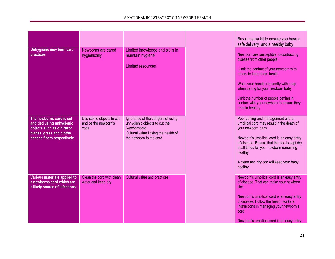|                                                                                                                                               |                                                             |                                                                                                                                                      | Buy a mama kit to ensure you have a<br>safe delivery and a healthy baby                                                                                                                                                                                                                                                           |
|-----------------------------------------------------------------------------------------------------------------------------------------------|-------------------------------------------------------------|------------------------------------------------------------------------------------------------------------------------------------------------------|-----------------------------------------------------------------------------------------------------------------------------------------------------------------------------------------------------------------------------------------------------------------------------------------------------------------------------------|
| Unhygienic new born care<br>practices                                                                                                         | Newborns are cared<br>hygienically                          | Limited knowledge and skills in<br>maintain hygiene<br>Limited resources                                                                             | New born are susceptible to contracting<br>disease from other people.<br>Limit the contact of your newborn with<br>others to keep them health<br>Wash your hands frequently with soap<br>when caring for your newborn baby<br>Limit the number of people getting in<br>contact with your newborn to ensure they<br>remain healthy |
| The newborns cord is cut<br>and tied using unhygienic<br>objects such as old razor<br>blades, grass and cloths,<br>banana fibers respectively | Use sterile objects to cut<br>and tie the newborn's<br>code | Ignorance of the dangers of using<br>unhygienic objects to cut the<br>Newborncord<br>Cultural value linking the health of<br>the newborn to the cord | Poor cutting and management of the<br>umbilical cord may result in the death of<br>your newborn baby<br>Newborn's umbilical cord is an easy entry<br>of disease. Ensure that the cod is kept dry<br>at all times for your newborn remaining<br>healthy<br>A clean and dry cod will keep your baby<br>healthy                      |
| Various materials applied to<br>a newborns cord which are<br>a likely source of infections                                                    | Clean the cord with clean<br>water and keep dry             | Cultural value and practices                                                                                                                         | Newborn's umbilical cord is an easy entry<br>of disease. That can make your newborn<br>sick<br>Newborn's umbilical cord is an easy entry<br>of disease. Follow the health workers<br>instructions in managing your newborn's<br>cord<br>Newborn's umbilical cord is an easy entry                                                 |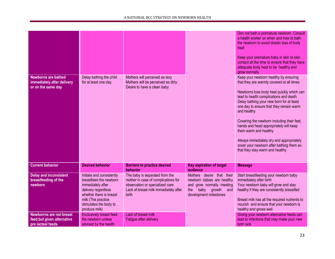|                                                                                    |                                                                                                                                                                                             |                                                                                                                                                            |                                                                                                                                             | Don not bath a premature newborn. Consult<br>a health worker on when and how to bath<br>the newborn to avoid drastic loss of body<br>heat<br>Keep your premature baby in skin to skin<br>contact all the time to ensure that they have<br>adequate body heat to be healthy and<br>grow normally                                                                                                                                                                                                                              |
|------------------------------------------------------------------------------------|---------------------------------------------------------------------------------------------------------------------------------------------------------------------------------------------|------------------------------------------------------------------------------------------------------------------------------------------------------------|---------------------------------------------------------------------------------------------------------------------------------------------|------------------------------------------------------------------------------------------------------------------------------------------------------------------------------------------------------------------------------------------------------------------------------------------------------------------------------------------------------------------------------------------------------------------------------------------------------------------------------------------------------------------------------|
| <b>Newborns are bathed</b><br>immediately after delivery<br>or on the same day     | Delay bathing the child<br>for at least one day.                                                                                                                                            | Mothers will perceived as lazy<br>Mothers will be perceived as dirty<br>Desire to have a clean baby                                                        |                                                                                                                                             | Keep your newborn healthy by ensuring<br>that they are warmly covered at all times<br>Newborns lose body heat quickly which can<br>lead to health complications and death.<br>Delay bathing your new born for at least<br>one day to ensure that they remain warm<br>and healthy<br>Covering the newborn including their feet,<br>hands and head appropriately will keep<br>them warm and healthy<br>Always immediately dry and appropriately<br>cover your newborn after bathing them so<br>that they stay warm and healthy |
| <b>Current behavior</b>                                                            | <b>Desired behavior</b>                                                                                                                                                                     | <b>Barriers to practice desired</b><br>behavior                                                                                                            | <b>Key aspiration of target</b><br>audience                                                                                                 | <b>Message</b>                                                                                                                                                                                                                                                                                                                                                                                                                                                                                                               |
| <b>Delay and inconsistent</b><br>breastfeeding of the<br>newborn                   | Initiate and consistently<br>breastfeed the newborn<br>immediately after<br>delivery regardless<br>whether there is breast<br>milk (The practice<br>stimulates the body to<br>produce milk) | The baby is separated from the<br>mother in case of complications for<br>observation or specialized care<br>Lack of breast milk immediately after<br>birth | Mothers desire that their<br>newborn babies are healthy<br>and grow normally meeting<br>baby growth<br>the<br>and<br>development milestones | Start breastfeeding your newborn baby<br>immediately after birth<br>Your newborn baby will grow and stay<br>healthy if they are consistently breastfed<br>Breast milk has all the required nutrients to<br>nourish and ensure that your newborn is<br>healthy and grows well                                                                                                                                                                                                                                                 |
| <b>Newborrns are not breast</b><br>feed but given alternative<br>pre lacteal feeds | <b>Exclusively breast feed</b><br>the newborn unless<br>advised by the health                                                                                                               | Lack of breast milk<br>Fatigue after delivery                                                                                                              |                                                                                                                                             | Giving your newborn alternative feeds can<br>lead to infections that may make your new<br>born sick                                                                                                                                                                                                                                                                                                                                                                                                                          |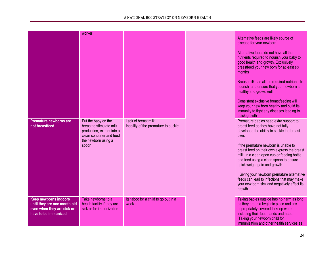|                                                                                                                    | worker                                                                                                                                    |                                                             | Alternative feeds are likely source of<br>disease for your newborn<br>Alternative feeds do not have all the<br>nutrients required to nourish your baby to<br>good health and growth. Exclusively<br>breastfeed your new born for at least six<br>months<br>Breast milk has all the required nutrients to<br>nourish and ensure that your newborn is<br>healthy and grows well<br>Consistent exclusive breastfeeding will<br>keep your new born healthy and build its<br>immunity to fight any diseases leading to<br>quick growth |
|--------------------------------------------------------------------------------------------------------------------|-------------------------------------------------------------------------------------------------------------------------------------------|-------------------------------------------------------------|-----------------------------------------------------------------------------------------------------------------------------------------------------------------------------------------------------------------------------------------------------------------------------------------------------------------------------------------------------------------------------------------------------------------------------------------------------------------------------------------------------------------------------------|
| <b>Premature newborns are</b><br>not breastfeed                                                                    | Put the baby on the<br>breast to stimulate milk<br>production, extract into a<br>clean container and feed<br>the newborn using a<br>spoon | Lack of breast milk<br>Inability of the premature to suckle | Premature babies need extra support to<br>breast feed as they have not fully<br>developed the ability to suckle the breast<br>own.<br>If the premature newborn is unable to<br>breast feed on their own express the breast<br>milk in a clean open cup or feeding bottle<br>and feed using a clean spoon to ensure<br>quick weight gain and growth<br>Giving your newborn premature alternative<br>feeds can lead to infections that may make<br>your new born sick and negatively affect its<br>growth                           |
| <b>Keep newborns indoors</b><br>until they are one month old<br>even when they are sick or<br>have to be immunized | Take newborns to a<br>health facility if they are<br>sick or for immunization                                                             | Its taboo for a child to go out in a<br>week                | Taking babies outside has no harm as long<br>as they are in a hygienic place and are<br>appropriately covered to keep warm<br>including their feet, hands and head.<br>Taking your newborn child for<br>immunization and other health services as                                                                                                                                                                                                                                                                                 |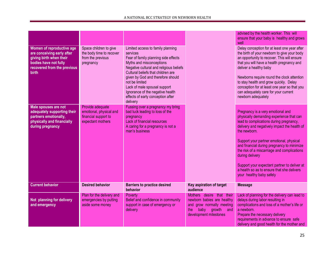| Women of reproductive age<br>are conceiving early after<br>giving birth when their<br>bodies have not fully<br>recovered from the previous<br>birth | Space children to give<br>the body time to recover<br>from the previous<br>pregnancy     | Limited access to family planning<br>services<br>Fear of family planning side effects<br>Myths and misconceptions<br>Negative cultural and religious beliefs<br>Cultural beliefs that children are<br>given by God and therefore should<br>not be limited<br>Lack of male spousal support<br>Ignorance of the negative health<br>effects of early conception after<br>delivery |                                                                                                                                                | advised by the health worker. This will<br>ensure that your baby is healthy and grows<br>well<br>Delay conception for at least one year after<br>the birth of your newborn to give your body<br>an opportunity to recover. This will ensure<br>that you will have a health pregnancy and<br>deliver a healthy baby<br>Newborns require round the clock attention<br>to stay health and grow quickly. Delay<br>conception for at least one year so that you<br>can adequately care for your current<br>newborn adequately |
|-----------------------------------------------------------------------------------------------------------------------------------------------------|------------------------------------------------------------------------------------------|--------------------------------------------------------------------------------------------------------------------------------------------------------------------------------------------------------------------------------------------------------------------------------------------------------------------------------------------------------------------------------|------------------------------------------------------------------------------------------------------------------------------------------------|--------------------------------------------------------------------------------------------------------------------------------------------------------------------------------------------------------------------------------------------------------------------------------------------------------------------------------------------------------------------------------------------------------------------------------------------------------------------------------------------------------------------------|
| Male spouses are not<br>adequately supporting their<br>partners emotionally,<br>physically and financially<br>during pregnancy                      | Provide adequate<br>emotional, physical and<br>financial support to<br>expectant mothers | Fussing over a pregnancy my bring<br>bad luck leading to loss of the<br>pregnancy<br>Lack of financial resources<br>A caring for a pregnancy is not a<br>man's business                                                                                                                                                                                                        |                                                                                                                                                | Pregnancy is a very emotional and<br>physically demanding experience that can<br>lead to complications during pregnancy,<br>delivery and negatively impact the health of<br>the newborn.<br>Support your partner emotional, physical<br>and financial during pregnancy to minimize<br>the risk of a miscarriage and complications<br>during delivery<br>Support your expectant partner to deliver at<br>a health so as to ensure that she delivers<br>your healthy baby safely                                           |
| <b>Current behavior</b>                                                                                                                             | <b>Desired behavior</b>                                                                  | <b>Barriers to practice desired</b><br>behavior                                                                                                                                                                                                                                                                                                                                | Key aspiration of target<br>audience                                                                                                           | <b>Message</b>                                                                                                                                                                                                                                                                                                                                                                                                                                                                                                           |
| Not planning for delivery<br>and emergency                                                                                                          | Plan for the delivery and<br>emergencies by putting<br>aside some money                  | Poverty<br>Belief and confidence in community<br>support in case of emergency or<br>delivery                                                                                                                                                                                                                                                                                   | Mothers desire that their<br>newborn babies are healthy<br>and grow normally meeting<br>baby<br>growth<br>the<br>and<br>development milestones | Lack of planning for the delivery can lead to<br>delays during labor resulting in<br>complications and loss of a mother's life or<br>a newborn.<br>Prepare the necessary delivery<br>requirements in advance to ensure safe<br>delivery and good health for the mother and                                                                                                                                                                                                                                               |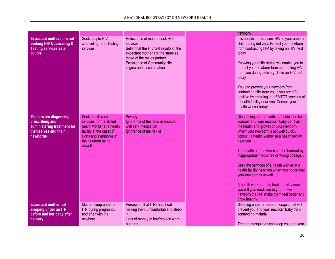|                                                                                                               |                                                                                                                                                              |                                                                                                                                                                                                                    | newborn                                                                                                                                                                                                                                                                                                                                                                                                                                                                                                                                                                                                   |
|---------------------------------------------------------------------------------------------------------------|--------------------------------------------------------------------------------------------------------------------------------------------------------------|--------------------------------------------------------------------------------------------------------------------------------------------------------------------------------------------------------------------|-----------------------------------------------------------------------------------------------------------------------------------------------------------------------------------------------------------------------------------------------------------------------------------------------------------------------------------------------------------------------------------------------------------------------------------------------------------------------------------------------------------------------------------------------------------------------------------------------------------|
| <b>Expectant mothers are not</b><br>seeking HIV Counseling &<br><b>Testing services as a</b><br>couple        | Seek couple HIV<br>counseling' and Testing<br>services                                                                                                       | Reluctance of men to seek HCT<br>services<br>Belief that the HIV test results of the<br>expectant mother are the same as<br>those of the males partner<br>Prevalence of Community HIV<br>stigma and discrimination | It is possible to transmit HIV to your unborn<br>child during delivery. Protect your newborn<br>from contracting HIV by taking an HIV test<br>today<br>Knowing your HIV status will enable you to<br>protect your newborn from contracting HIV<br>from you during delivery. Take an HIV test<br>today<br>You can prevent your newborn from<br>contracting HIV from you if you are HIV<br>positive by enrolling into EMTCT services at<br>a health facility near you. Consult your<br>health worker today.                                                                                                 |
| Mothers are diagnosing,<br>prescribing and<br>administering treatment for<br>themselves and their<br>newborns | Seek health care<br>services form a skilled<br>health worker at a health<br>facility at the onset of<br>signs and symptoms of<br>the newborn being<br>unwell | Poverty<br>Ignorance of the risks associated<br>with self- medication<br>Ignorance of the risk of                                                                                                                  | Diagnosing and prescribing medication for<br>yourself and your newborn baby can harm<br>the health and growth of your newborn<br>When your newborn is not well quickly<br>consult a health worker at a health facility<br>near you<br>The health of a newborn can be harmed by<br>inappropriate medicines or wrong dosage.<br>Seek the services of a health worker at a<br>health facility near you when you notice that<br>your newborn is unwell<br>A health worker at the health facility near<br>you will give medicine to your unwell<br>newborn that will make them feel better and<br>grow healthy |
| <b>Expectant mother not</b><br>sleeping under an ITN<br>before and her baby after<br>delivery                 | Mother sleep under an<br>ITN during pregnancy<br>and after with the<br>newborn                                                                               | Perception that ITNs trap heat<br>making them uncomfortable to sleep<br>in<br>Lack of money to buy/replace worn-<br>out nets                                                                                       | Sleeping under a treated mosquito net will<br>prevent you and your newborn baby from<br>contracting malaria<br>Treated mosquitoes can keep you and your                                                                                                                                                                                                                                                                                                                                                                                                                                                   |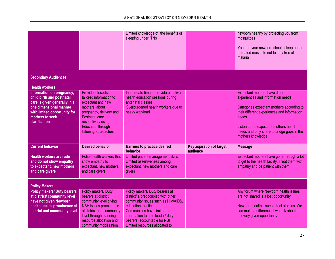|                                                                                                                                                                                      |                                                                                                                                                                                                                    | Limited knowledge of the benefits of<br>sleeping under ITNs                                                                                                                                                                                                               |                                      | newborn healthy by protecting you from<br>mosquitoes                                                                                                                                                                                                                                    |
|--------------------------------------------------------------------------------------------------------------------------------------------------------------------------------------|--------------------------------------------------------------------------------------------------------------------------------------------------------------------------------------------------------------------|---------------------------------------------------------------------------------------------------------------------------------------------------------------------------------------------------------------------------------------------------------------------------|--------------------------------------|-----------------------------------------------------------------------------------------------------------------------------------------------------------------------------------------------------------------------------------------------------------------------------------------|
|                                                                                                                                                                                      |                                                                                                                                                                                                                    |                                                                                                                                                                                                                                                                           |                                      | You and your newborn should sleep under<br>a treated mosquito net to stay free of<br>malaria                                                                                                                                                                                            |
| <b>Secondary Audiences</b>                                                                                                                                                           |                                                                                                                                                                                                                    |                                                                                                                                                                                                                                                                           |                                      |                                                                                                                                                                                                                                                                                         |
| <b>Health workers</b>                                                                                                                                                                |                                                                                                                                                                                                                    |                                                                                                                                                                                                                                                                           |                                      |                                                                                                                                                                                                                                                                                         |
| Information on pregnancy,<br>child birth and postnatal<br>care is given generally in a<br>one dimensional manner<br>with limited opportunity for<br>mothers to seek<br>clarification | Provide interactive<br>tailored information to<br>expectant and new<br>mothers about<br>pregnancy, delivery and<br>Postnatal care<br>respectively using<br><b>Education through</b><br>listening approaches        | Inadequate time to provide effective<br>health education sessions during<br>antenatal classes<br>Overburdened health workers due to<br>heavy workload                                                                                                                     |                                      | Expectant mothers have different<br>experiences and information needs<br>Categories expectant mothers according to<br>their different experiences and information<br>needs<br>Listen to the expectant mothers health<br>needs and only share to bridge gaps in the<br>mothers knowledge |
| <b>Current behavior</b>                                                                                                                                                              | <b>Desired behavior</b>                                                                                                                                                                                            | <b>Barriers to practice desired</b><br>behavior                                                                                                                                                                                                                           | Key aspiration of target<br>audience | <b>Message</b>                                                                                                                                                                                                                                                                          |
| <b>Health workers are rude</b><br>and do not show empathy<br>to expectant, new mothers<br>and care givers                                                                            | Polite health workers that<br>show empathy to<br>expectant, new mothers<br>and care givers                                                                                                                         | Limited patient management skills<br>Limited assertiveness among<br>expectant, new mothers and care<br>givers                                                                                                                                                             |                                      | Expectant mothers have gone through a lot<br>to get to the health facility. Treat them with<br>empathy and be patient with them                                                                                                                                                         |
| <b>Policy Makers</b>                                                                                                                                                                 |                                                                                                                                                                                                                    |                                                                                                                                                                                                                                                                           |                                      |                                                                                                                                                                                                                                                                                         |
| <b>Policy makers/ Duty bearers</b><br>at district/ community level<br>have not given Newborn<br>health issues prominence at<br>district and community level                          | Policy makers/ Duty<br>bearers at district/<br>community level giving<br><b>NBH</b> issues prominence<br>at district and community<br>level through planning,<br>resource allocation and<br>community mobilization | Policy makers/ Duty bearers at<br>district/ a preoccupied with other<br>community issues such as HIV/AIDS,<br>education, politics<br><b>Communities have limited</b><br>information to hold leader/ duty<br>bearers accountable for NBH<br>Limited resources allocated to |                                      | Any forum where Newborn health issues<br>are not shared is a lost opportunity<br>Newborn health issues affect all of us. We<br>can make a difference if we talk about them<br>at every given opportunity                                                                                |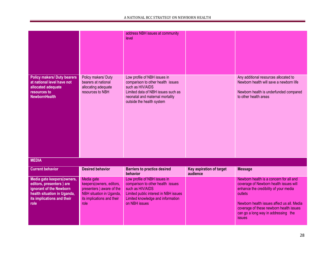|                                                                                                                                                        |                                                                                                                                      | address NBH issues at community<br>level                                                                                                                                                    |                                      |                                                                                                                                                                                                                                                                                 |
|--------------------------------------------------------------------------------------------------------------------------------------------------------|--------------------------------------------------------------------------------------------------------------------------------------|---------------------------------------------------------------------------------------------------------------------------------------------------------------------------------------------|--------------------------------------|---------------------------------------------------------------------------------------------------------------------------------------------------------------------------------------------------------------------------------------------------------------------------------|
| <b>Policy makers/ Duty bearers</b><br>at national level have not<br>allocated adequate<br>resources to<br><b>NewbornHealth</b>                         | Policy makers/ Duty<br>bearers at national<br>allocating adequate<br>resources to NBH                                                | Low profile of NBH issues in<br>comparison to other health issues<br>such as HIV/AIDS<br>Limited data of NBH issues such as<br>neonatal and maternal mortality<br>outside the health system |                                      | Any additional resources allocated to<br>Newborn health will save a newborn life<br>Newborn health is underfunded compared<br>to other health areas                                                                                                                             |
| <b>MEDIA</b>                                                                                                                                           |                                                                                                                                      |                                                                                                                                                                                             |                                      |                                                                                                                                                                                                                                                                                 |
| <b>Current behavior</b>                                                                                                                                | <b>Desired behavior</b>                                                                                                              | <b>Barriers to practice desired</b><br>behavior                                                                                                                                             | Key aspiration of target<br>audience | <b>Message</b>                                                                                                                                                                                                                                                                  |
| Media gate keepers(owners,<br>editors, presenters) are<br>ignorant of the Newborn<br>health situation in Uganda,<br>its implications and their<br>role | Media gate<br>keepers(owners, editors,<br>presenters) aware of the<br>NBH situation in Uganda,<br>its implications and their<br>role | Low profile of NBH issues in<br>comparison to other health issues<br>such as HIV/AIDS<br>Limited public interest in NBH issues<br>Limited knowledge and information<br>on NBH issues        |                                      | Newborn health is a concern for all and<br>coverage of Newborn health issues will<br>enhance the credibility of your media<br>outlets<br>Newborn health issues affect us all. Media<br>coverage of these newborn health issues<br>can go a long way in addressing the<br>issues |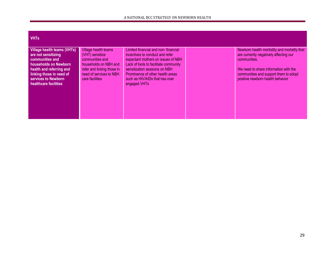| <b>VHTs</b>                                                                                                                                                                                            |                                                                                                                                                                 |                                                                                                                                                                                                                                                                              |                                                                                                                                                                                                                             |
|--------------------------------------------------------------------------------------------------------------------------------------------------------------------------------------------------------|-----------------------------------------------------------------------------------------------------------------------------------------------------------------|------------------------------------------------------------------------------------------------------------------------------------------------------------------------------------------------------------------------------------------------------------------------------|-----------------------------------------------------------------------------------------------------------------------------------------------------------------------------------------------------------------------------|
| Village health teams (VHTs)<br>are not sensitizing<br>communities and<br>households on Newborn<br>health and referring and<br>linking those in need of<br>services to Newborn<br>healthcare facilities | Village health teams<br>(VHT) sensitize<br>communities and<br>households on NBH and<br>refer and linking those in<br>need of services to NBH<br>care facilities | Limited financial and non-financial<br>incentives to conduct and refer<br>expectant mothers on issues of NBH<br>Lack of tools to facilitate community<br>sensitization sessions on NBH<br>Prominence of other health areas<br>such as HIV/AIDs that has over<br>engaged VHTs | Newborn health morbidity and mortality that<br>are currently negatively affecting our<br>communities.<br>We need to share information with the<br>communities and support them to adopt<br>positive newborn health behavior |
|                                                                                                                                                                                                        |                                                                                                                                                                 |                                                                                                                                                                                                                                                                              |                                                                                                                                                                                                                             |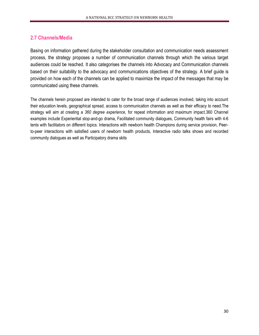# **2.7 Channels/Media**

Basing on information gathered during the stakeholder consultation and communication needs assessment process, the strategy proposes a number of communication channels through which the various target audiences could be reached. It also categorises the channels into Advocacy and Communication channels based on their suitability to the advocacy and communications objectives of the strategy. A brief guide is provided on how each of the channels can be applied to maximize the impact of the messages that may be communicated using these channels.

The channels herein proposed are intended to cater for the broad range of audiences involved, taking into account their education levels, geographical spread, access to communication channels as well as their efficacy to need.The strategy will aim at creating a *360 degree experience*, for repeat information and maximum impact.360 Channel examples include Experiential stop-and-go drama, Facilitated community dialogues, Community health fairs with 4-6 tents with facilitators on different topics. Interactions with newborn health Champions during service provision, Peerto-peer interactions with satisfied users of newborn health products, Interactive radio talks shows and recorded community dialogues as well as Participatory drama skits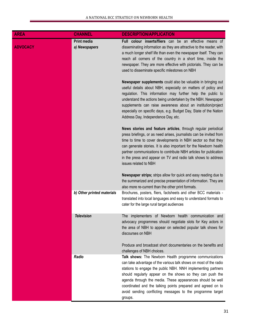| <b>AREA</b>     | <b>CHANNEL</b>                      | <b>DESCRIPTION/APPLICATION</b>                                                                                                                                                                                                                                                                                                                                                                                                                                   |
|-----------------|-------------------------------------|------------------------------------------------------------------------------------------------------------------------------------------------------------------------------------------------------------------------------------------------------------------------------------------------------------------------------------------------------------------------------------------------------------------------------------------------------------------|
| <b>ADVOCACY</b> | <b>Print media</b><br>a) Newspapers | Full colour inserts/fliers can be an effective means of<br>disseminating information as they are attractive to the reader, with<br>a much longer shelf life than even the newspaper itself. They can<br>reach all corners of the country in a short time, inside the<br>newspaper. They are more effective with pictorials. They can be<br>used to disseminate specific milestones on NBH                                                                        |
|                 |                                     | Newspaper supplements could also be valuable in bringing out<br>useful details about NBH, especially on matters of policy and<br>regulation. This information may further help the public to<br>understand the actions being undertaken by the NBH. Newspaper<br>supplements can raise awareness about an institution/project<br>especially on specific days, e.g. Budget Day, State of the Nation<br>Address Day, Independence Day, etc.                        |
|                 |                                     | News stories and feature articles, through regular periodical<br>press briefings, or as need arises, journalists can be invited from<br>time to time to cover developments in NBH sector so that they<br>can generate stories. It is also important for the Newborn health<br>partner communications to contribute NBH articles for publication<br>in the press and appear on TV and radio talk shows to address<br>issues related to NBH                        |
|                 |                                     | Newspaper strips; strips allow for quick and easy reading due to<br>the summarized and precise presentation of information. They are<br>also more re-current than the other print formats.                                                                                                                                                                                                                                                                       |
|                 | b) Other printed materials          | Brochures, posters, fliers, factsheets and other BCC materials -<br>translated into local languages and easy to understand formats to<br>cater for the large rural target audiences                                                                                                                                                                                                                                                                              |
|                 | <b>Television</b>                   | The implementers of Newborn health communication and<br>advocacy programmes should negotiate slots for Key actors in<br>the area of NBH to appear on selected popular talk shows for<br>discourses on NBH                                                                                                                                                                                                                                                        |
|                 |                                     | Produce and broadcast short documentaries on the benefits and<br>challenges of NBH choices.                                                                                                                                                                                                                                                                                                                                                                      |
|                 | Radio                               | Talk shows: The Newborn Health programme communications<br>can take advantage of the various talk shows on most of the radio<br>stations to engage the public NBH. NNH implementing partners<br>should regularly appear on the shows so they can push the<br>agenda through the media. These appearances should be well<br>coordinated and the talking points prepared and agreed on to<br>avoid sending conflicting messages to the programme target<br>groups. |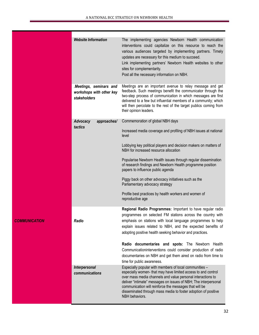|                      | <b>Website Information</b><br>Meetings, seminars and<br>workshops with other key | The implementing agencies Newborn Health communication<br>interventions could capitalize on this resource to reach the<br>various audiences targeted by implementing partners. Timely<br>updates are necessary for this medium to succeed.<br>Link implementing partners' Newborn Health websites to other<br>sites for complementarity.<br>Post all the necessary information on NBH.<br>Meetings are an important avenue to relay message and get<br>feedback. Such meetings benefit the communicator through the |
|----------------------|----------------------------------------------------------------------------------|---------------------------------------------------------------------------------------------------------------------------------------------------------------------------------------------------------------------------------------------------------------------------------------------------------------------------------------------------------------------------------------------------------------------------------------------------------------------------------------------------------------------|
|                      | stakeholders                                                                     | two-step process of communication in which messages are first<br>delivered to a few but influential members of a community; which<br>will then percolate to the rest of the target publics coming from<br>their opinion leaders.                                                                                                                                                                                                                                                                                    |
|                      | Advocacy<br>approaches/                                                          | Commemoration of global NBH days                                                                                                                                                                                                                                                                                                                                                                                                                                                                                    |
|                      | tactics                                                                          | Increased media coverage and profiling of NBH issues at national<br>level                                                                                                                                                                                                                                                                                                                                                                                                                                           |
|                      |                                                                                  | Lobbying key political players and decision makers on matters of<br>NBH for increased resource allocation                                                                                                                                                                                                                                                                                                                                                                                                           |
|                      |                                                                                  | Popularise Newborn Health issues through regular dissemination<br>of research findings and Newborn Health programme position<br>papers to influence public agenda                                                                                                                                                                                                                                                                                                                                                   |
|                      |                                                                                  | Piggy back on other advocacy initiatives such as the<br>Parliamentary advocacy strategy                                                                                                                                                                                                                                                                                                                                                                                                                             |
|                      |                                                                                  | Profile best practices by health workers and women of<br>reproductive age                                                                                                                                                                                                                                                                                                                                                                                                                                           |
|                      |                                                                                  | Regional Radio Programmes: Important to have regular radio                                                                                                                                                                                                                                                                                                                                                                                                                                                          |
| <b>COMMUNICATION</b> | Radio                                                                            | programmes on selected FM stations across the country with<br>emphasis on stations with local language programmes to help<br>explain issues related to NBH, and the expected benefits of<br>adopting positive health seeking behavior and practices.                                                                                                                                                                                                                                                                |
|                      |                                                                                  | Radio documentaries and spots: The Newborn Health<br>Communicationinterventions could consider production of radio<br>documentaries on NBH and get them aired on radio from time to<br>time for public awareness.                                                                                                                                                                                                                                                                                                   |
|                      | Interpersonal<br>communications                                                  | Especially popular with members of local communities -<br>especially women- that may have limited access to and control<br>over mass media channels and value personal interactions to<br>deliver "intimate" messages on issues of NBH; The interpersonal<br>communication will reinforce the messages that will be<br>disseminated through mass media to foster adoption of positive<br>NBH behaviors.                                                                                                             |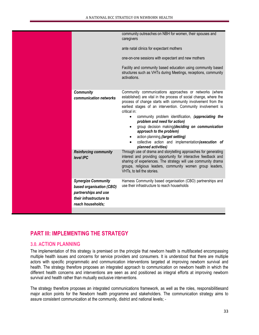|                                                                                                                                | community outreaches on NBH for women, their spouses and<br>caregivers<br>ante natal clinics for expectant mothers<br>one-on-one sessions with expectant and new mothers<br>Facility and community based education using community based<br>structures such as VHTs during Meetings, receptions, community<br>activations.                                                                                                                                                                                                                                                                                |
|--------------------------------------------------------------------------------------------------------------------------------|-----------------------------------------------------------------------------------------------------------------------------------------------------------------------------------------------------------------------------------------------------------------------------------------------------------------------------------------------------------------------------------------------------------------------------------------------------------------------------------------------------------------------------------------------------------------------------------------------------------|
| <b>Community</b><br>communication networks                                                                                     | Community communications approaches or networks (where<br>established) are vital in the process of social change, where the<br>process of change starts with community involvement from the<br>earliest stages of an intervention. Community involvement is<br>critical in:<br>community problem identification, (appreciating the<br>$\bullet$<br>problem and need for action)<br>group decision making(deciding on communication<br>$\bullet$<br>approach to the problem)<br>action planning, (target setting)<br>collective action and implementation(execution of<br>$\bullet$<br>planned activities) |
| <b>Reinforcing community</b><br>level IPC                                                                                      | Through use of drama and storytelling approaches for generating<br>interest and providing opportunity for interactive feedback and<br>sharing of experiences. The strategy will use community drama<br>groups, religious leaders, community women group leaders,<br>VHTs, to tell the stories.                                                                                                                                                                                                                                                                                                            |
| <b>Synergize Community</b><br>based organisation (CBO)<br>partnerships and use<br>their infrastructure to<br>reach households; | Harness Community based organisation (CBO) partnerships and<br>use their infrastructure to reach households                                                                                                                                                                                                                                                                                                                                                                                                                                                                                               |
|                                                                                                                                |                                                                                                                                                                                                                                                                                                                                                                                                                                                                                                                                                                                                           |

# **PART III: IMPLEMENTING THE STRATEGY**

# **3.0. ACTION PLANNING**

The implementation of this strategy is premised on the principle that newborn health is multifaceted encompassing multiple health issues and concerns for service providers and consumers. It is understood that there are multiple actors with specific programmatic and communication interventions targeted at improving newborn survival and health. The strategy therefore proposes an integrated approach to communication on newborn health in which the different health concerns and interventions are seen as and positioned as integral efforts at improving newborn survival and health rather than mutually exclusive interventions.

The strategy therefore proposes an integrated communications framework, as well as the roles, responsibilitiesand major action points for the Newborn health programme and stakeholders. The communication strategy aims to assure consistent communication at the community, district and national levels; ‐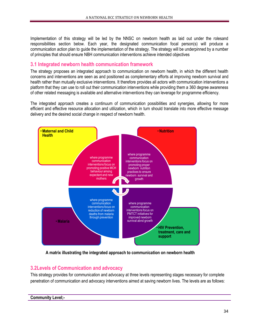Implementation of this strategy will be led by the NNSC on newborn health as laid out under the rolesand responsibilities section below. Each year, the designated communication focal person(s) will produce a communication action plan to guide the implementation of the strategy. The strategy will be underpinned by a number of principles that should ensure NBH communication interventions achieve intended objectives

# **3.1 Integrated newborn health communication framework**

The strategy proposes an integrated approach to communication on newborn health, in which the different health concerns and interventions are seen as and positioned as complementary efforts at improving newborn survival and health rather than mutually exclusive interventions. It therefore provides all actors with communication interventions a platform that they can use to roll out their communication interventions while providing them a 360 degree awareness of other related messaging is available and alternative interventions they can leverage for programme efficiency.

The integrated approach creates a continuum of communication possibilities and synergies, allowing for more efficient and effective resource allocation and utilization, which in turn should translate into more effective message delivery and the desired social change in respect of newborn health.



**A matrix illustrating the integrated approach to communication on newborn health**

# **3.2Levels of Communication and advocacy**

This strategy provides for communication and advocacy at three levels representing stages necessary for complete penetration of communication and advocacy interventions aimed at saving newborn lives. The levels are as follows: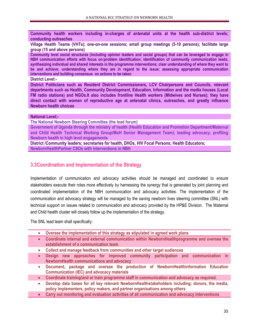**Community health workers including in-charges of antenatal units at the health sub-district levels; conducting outreaches**

**Village Health Teams (VHTs); one-on-one sessions; small group meetings (5-10 persons); facilitate large group (15 and above persons)**

**Community level social structures (including opinion leaders and social groups) that can be leveraged to engage in NBH communication efforts with focus on:problem identification; identification of community communication leads; synthesizing individual and shared interests in the programme interventions; clear understanding of where they want to be and achieve; understanding where they are in regard to the issue; assessing appropriate communication interventions and building consensus on actions to be taken**

**District Level:-**

**District Politicians such as Resident District Commissioners, LCV Chairpersons and Councils, relevant departments such as Health, Community Development, Education, Information and the media houses (Local FM radio stations) and NGOs.It also includes frontline Health workers (Midwives and Nurses); they have direct contact with women of reproductive age at antenatal clinics, outreaches, and greatly influence Newborn health choices**

#### **National Level;-**

**The National Newborn Steering Committee (the lead forum)**

**Government of Uganda through the ministry of health (Health Education and Promotion Department/Maternal and Child Health Technical Working Group/MoH Senior Management Team); leading advocacy; profiling Newborn health in high level engagements**

**District /Community leaders; secretaries for health, DHOs, HIV Focal Persons; Health Educators; NewbornHealthPartner CSOs with interventions in NBH**

## **3.3Coordination and Implementation of the Strategy**

Implementation of communication and advocacy activities should be managed and coordinated to ensure stakeholders execute their roles more effectively by harnessing the synergy that is generated by joint planning and coordinated implementation of the NBH communication and advocacy activities. The implementation of the communication and advocacy strategy will be managed by the saving newborn lives steering committee (SNL) with technical support on issues related to communication and advocacy provided by the HP&E Division. The Maternal and Child health cluster will closely follow up the implementation of the strategy.

The SNL lead team shall specifically:

- **Oversee the implementation of this strategy as stipulated in agreed work plans**
- **Coordinate internal and external communication within NewbornHealthprogramme and oversee the establishment of a communication team**
- **Collect and manage feedback from communities and other target audiences**
- **Design new approaches for improved community participation and communication in NewbornHealth communications and advocacy**
- **Document, package and oversee the production of NewbornHealthinformation Education Communication (IEC) and advocacy materials**
- **Coordinate training/and or train programme staff in communication and advocacy as required.**
- **Develop data bases for all key relevant NewbornHealthstakeholders including; donors, the media, policy implementers, policy makers, and partner organisations among others**
- **Carry out monitoring and evaluation activities of all communication and advocacy interventions**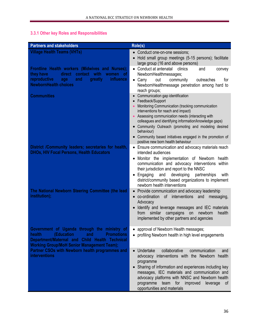# **3.3.1 Other key Roles and Responsibilities**

| <b>Partners and stakeholders</b>                                                                                                                                                                                 | Role(s)                                                                                                                                                                                                                                                                                                                                                                              |
|------------------------------------------------------------------------------------------------------------------------------------------------------------------------------------------------------------------|--------------------------------------------------------------------------------------------------------------------------------------------------------------------------------------------------------------------------------------------------------------------------------------------------------------------------------------------------------------------------------------|
| <b>Village Health Teams (VHTs)</b>                                                                                                                                                                               | • Conduct one-on-one sessions;<br>Hold small group meetings (5-15 persons); facilitate<br>$\bullet$<br>large group (16 and above persons)                                                                                                                                                                                                                                            |
| Frontline Health workers (Midwives and Nurses);<br>contact with<br>they have<br>direct<br>women of<br>reproductive<br>influence<br>and<br>greatly<br>age                                                         | • Conduct at antenatal<br>clinics<br>and<br>convey<br>NewbornHealthmessages;<br>$\bullet$ Carry<br>out<br>community<br>for<br>outreaches                                                                                                                                                                                                                                             |
| <b>NewbornHealth choices</b>                                                                                                                                                                                     | NewbornHealthmessage penetration among hard to<br>reach groups;                                                                                                                                                                                                                                                                                                                      |
| <b>Communities</b>                                                                                                                                                                                               | Communication gap identification<br>$\bullet$<br>Feedback/Support<br>$\bullet$<br>Monitoring Communication (tracking communication<br>interventions for reach and impact)                                                                                                                                                                                                            |
|                                                                                                                                                                                                                  | Assessing communication needs (interacting with<br>$\bullet$<br>colleagues and identifying information/knowledge gaps)<br>• Community Outreach (promoting and modeling desired<br>behaviour)                                                                                                                                                                                         |
|                                                                                                                                                                                                                  | • Community based initiatives engaged in the promotion of<br>positive new born health behaviour                                                                                                                                                                                                                                                                                      |
| District /Community leaders; secretaries for health,<br><b>DHOs, HIV Focal Persons, Health Educators</b>                                                                                                         | • Ensure communication and advocacy materials reach<br>intended audiences                                                                                                                                                                                                                                                                                                            |
|                                                                                                                                                                                                                  | Monitor the implementation of Newborn<br>health<br>$\bullet$<br>communication and advocacy interventions within<br>their jurisdiction and report to the NNSC<br>developing<br>Engaging<br>and<br>partnerships<br>with<br>$\bullet$<br>district/community based organizations to implement<br>newborn health interventions                                                            |
| The National Newborn Steering Committee (the lead<br>institution);                                                                                                                                               | Provide communication and advocacy leadership<br>of interventions<br>co-ordination<br>and<br>messaging,<br>$\bullet$                                                                                                                                                                                                                                                                 |
|                                                                                                                                                                                                                  | Advocacy<br>Identify and leverage messages and IEC materials<br>$\bullet$<br>similar<br>from<br>campaigns<br>on<br>newborn<br>health<br>implemented by other partners and agencies                                                                                                                                                                                                   |
| Government of Uganda through the ministry of<br>health<br>(Education<br><b>Exercise Promotions</b><br>and<br>Department/Maternal and Child Health Technical<br><b>Working Group/MoH Senior Management Team);</b> | approval of Newborn Health messages;<br>$\bullet$<br>• profiling Newborn health in high level engagements                                                                                                                                                                                                                                                                            |
| Partner CSOs with Newborn health programmes and<br><b>interventions</b>                                                                                                                                          | collaborative<br>Undertake<br>communication<br>and<br>$\bullet$<br>advocacy interventions with the Newborn health<br>programme<br>Sharing of information and experiences including key<br>$\bullet$<br>messages, IEC materials and communication and<br>advocacy platforms with NNSC and Newborn health<br>programme team for improved<br>leverage of<br>opportunities and materials |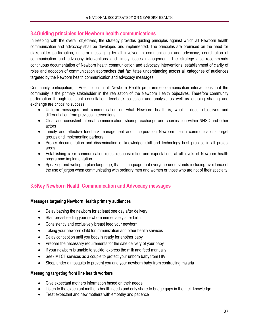# **3.4Guiding principles for Newborn health communications**

In keeping with the overall objectives, the strategy provides guiding principles against which all Newborn health communication and advocacy shall be developed and implemented. The principles are premised on the need for stakeholder participation, uniform messaging by all involved in communication and advocacy, coordination of communication and advocacy interventions and timely issues management. The strategy also recommends continuous documentation of Newborn health communication and advocacy interventions, establishment of clarity of roles and adoption of communication approaches that facilitates understanding across all categories of audiences targeted by the Newborn health communication and advocacy messages

Community participation; ‐ Prescription in all Newborn Health programme communication interventions that the community is the primary stakeholder in the realization of the Newborn Health objectives. Therefore community participation through constant consultation, feedback collection and analysis as well as ongoing sharing and exchange are critical to success.

- Uniform messages and communication on what Newborn health is, what it does, objectives and differentiation from previous interventions
- Clear and consistent internal communication, sharing, exchange and coordination within NNSC and other actors
- Timely and effective feedback management and incorporation Newborn health communications target groups and implementing partners
- Proper documentation and dissemination of knowledge, skill and technology best practice in all project areas
- Establishing clear communication roles, responsibilities and expectations at all levels of Newborn health programme implementation
- Speaking and writing in plain language, that is; language that everyone understands including avoidance of the use of jargon when communicating with ordinary men and women or those who are not of their specialty

# **3.5Key Newborn Health Communication and Advocacy messages**

## **Messages targeting Newborn Health primary audiences**

- Delay bathing the newborn for at least one day after delivery
- Start breastfeeding your newborn immediately after birth
- Consistently and exclusively breast feed your newborn
- Taking your newborn child for immunization and other health services
- Delay conception until you body is ready for another baby
- Prepare the necessary requirements for the safe delivery of your baby
- If your newborn is unable to suckle, express the milk and feed manually
- Seek MTCT services as a couple to protect your unborn baby from HIV
- Sleep under a mosquito to prevent you and your newborn baby from contracting malaria

#### **Messaging targeting front line health workers**

- Give expectant mothers information based on their needs
- Listen to the expectant mothers health needs and only share to bridge gaps in the their knowledge
- Treat expectant and new mothers with empathy and patience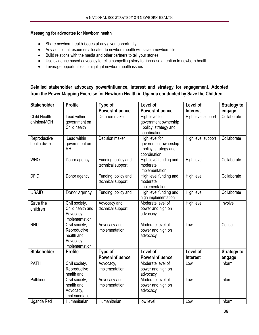## **Messaging for advocates for Newborn health**

- Share newborn health issues at any given opportunity
- Any additional resources allocated to newborn health will save a newborn life
- Build relations with the media and other partners to tell your stories
- Use evidence based advocacy to tell a compelling story for increase attention to newborn health
- Leverage opportunities to highlight newborn health issues

# **Detailed stakeholder advocacy power/influence, interest and strategy for engagement. Adopted from the Power Mapping Exercise for Newborn Health in Uganda conducted by Save the Children**

| <b>Stakeholder</b>              | <b>Profile</b>                                                              | Type of                                  | Level of                                                                         | Level of           | <b>Strategy to</b> |
|---------------------------------|-----------------------------------------------------------------------------|------------------------------------------|----------------------------------------------------------------------------------|--------------------|--------------------|
|                                 |                                                                             | Power/Influence                          | Power/Influence                                                                  | <b>Interest</b>    | engage             |
| Child Health<br>division/MOH    | Lead within<br>government on<br>Child health                                | Decision maker                           | High level for<br>government ownership<br>, policy, strategy and<br>coordination | High level support | Collaborate        |
| Reproductive<br>health division | Lead within<br>government on<br><b>RH</b>                                   | Decision maker                           | High level for<br>government ownership<br>, policy, strategy and<br>coordination | High level support | Collaborate        |
| <b>WHO</b>                      | Donor agency                                                                | Funding, policy and<br>technical support | High level funding and<br>moderate<br>implementation                             | High level         | Collaborate        |
| <b>DFID</b>                     | Donor agency                                                                | Funding, policy and<br>technical support | High level funding and<br>moderate<br>implementation                             | High level         | Collaborate        |
| <b>USAID</b>                    | Donor agency                                                                | Funding, policy and                      | High level funding and<br>high implementation                                    | High level         | Collaborate        |
| Save the<br>children            | Civil society,<br>Child health and<br>Advocacy,<br>implementation           | Advocacy and<br>technical support        | Moderate level of<br>power and high on<br>advocacy                               | High level         | Involve            |
| <b>RHU</b>                      | Civil society,<br>Reproductive<br>health and<br>Advocacy,<br>implementation | Advocacy and<br>implementation           | Moderate level of<br>power and high on<br>advocacy                               | Low                | Consult            |
| <b>Stakeholder</b>              | <b>Profile</b>                                                              | Type of                                  | Level of                                                                         | Level of           | <b>Strategy to</b> |
|                                 |                                                                             | Power/Influence                          | Power/Influence                                                                  | <b>Interest</b>    | engage             |
| <b>PATH</b>                     | Civil society,<br>Reproductive<br>health and                                | Advocacy,<br>implementation              | Moderate level of<br>power and high on<br>advocacy                               | Low                | Inform             |
| Pathfinder                      | Civil society,<br>health and<br>Advocacy,<br>implementation                 | Advocacy and<br>implementation           | Moderate level of<br>power and high on<br>advocacy                               | Low                | Inform             |
| Uganda Red                      | Humanitarian                                                                | Humanitarian                             | low level                                                                        | Low                | Inform             |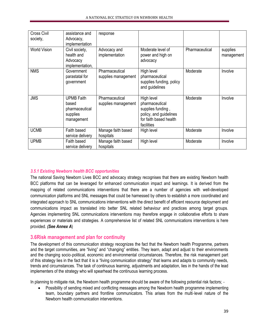| Cross Civil<br>society, | assistance and<br>Advocacy,<br>implementation                          | response                              |                                                                                                                     |                |                        |
|-------------------------|------------------------------------------------------------------------|---------------------------------------|---------------------------------------------------------------------------------------------------------------------|----------------|------------------------|
| <b>World Vision</b>     | Civil society,<br>health and<br>Advocacy<br>implementation,            | Advocacy and<br>implementation        | Moderate level of<br>power and high on<br>advocacy                                                                  | Pharmaceutical | supplies<br>management |
| <b>NMS</b>              | Government<br>parastatal for<br>government                             | Pharmaceutical<br>supplies management | High level<br>pharmaceutical<br>supplies funding, policy<br>and guidelines                                          | Moderate       | Involve                |
| <b>JMS</b>              | <b>UPMB Faith</b><br>based<br>pharmaceutical<br>supplies<br>management | Pharmaceutical<br>supplies management | High level<br>pharmaceutical<br>supplies funding,<br>policy, and guidelines<br>for faith based health<br>facilities | Moderate       | Involve                |
| <b>UCMB</b>             | Faith based<br>service delivery                                        | Manage faith based<br>hospitals       | High level                                                                                                          | Moderate       | Involve                |
| <b>UPMB</b>             | Faith based<br>service delivery                                        | Manage faith based<br>hospitals       | High level                                                                                                          | Moderate       | Involve                |

## *3.5.1 Existing Newborn health BCC opportunities*

The national Saving Newborn Lives BCC and advocacy strategy recognises that there are existing Newborn health BCC platforms that can be leveraged for enhanced communication impact and learnings. It is derived from the mapping of related communications interventions that there are a number of agencies with well-developed communication platforms and SNL messages that could be harnessed by others to establish a more coordinated and integrated approach to SNL communications interventions with the direct benefit of efficient resource deployment and communications impact as translated into better SNL related behaviour and practices among target groups. Agencies implementing SNL communications interventions may therefore engage in collaborative efforts to share experiences or materials and strategies. A comprehensive list of related SNL communications interventions is here provided. *(See Annex A*)

# **3.6Risk management and plan for continuity**

The development of this communication strategy recognizes the fact that the Newborn health Programme, partners and the target communities, are "living" and "changing" entities. They learn, adapt and adjust to their environments and the changing socio‐political, economic and environmental circumstances. Therefore, the risk management part of this strategy lies in the fact that it is a "living communication strategy" that learns and adapts to community needs, trends and circumstances. The task of continuous learning, adjustments and adaptation, lies in the hands of the lead implementers of the strategy who will spearhead the continuous learning process.

In planning to mitigate risk, the Newborn health programme should be aware of the following potential risk factors; -

 Possibility of sending mixed and conflicting messages among the Newborn health programme implementing team, boundary partners and frontline communicators. This arises from the multi-level nature of the Newborn health communication interventions.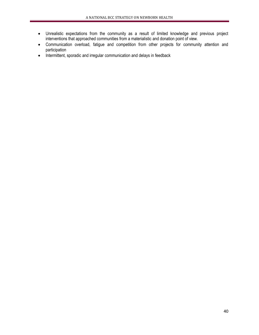- Unrealistic expectations from the community as a result of limited knowledge and previous project interventions that approached communities from a materialistic and donation point of view.
- Communication overload, fatigue and competition from other projects for community attention and participation
- Intermittent, sporadic and irregular communication and delays in feedback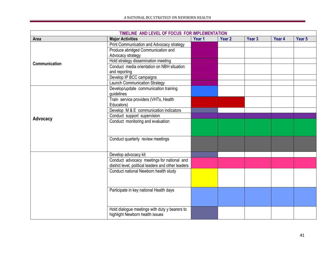| TIMELINE AND LEVEL OF FOCUS FOR IMPLEMENTATION |                                                     |        |        |                   |        |        |
|------------------------------------------------|-----------------------------------------------------|--------|--------|-------------------|--------|--------|
| Area                                           | <b>Major Activities</b>                             | Year 1 | Year 2 | Year <sub>3</sub> | Year 4 | Year 5 |
|                                                | Print Communication and Advocacy strategy           |        |        |                   |        |        |
|                                                | Produce abridged Communication and                  |        |        |                   |        |        |
|                                                | Advocacy strategy                                   |        |        |                   |        |        |
| Communication                                  | Hold strategy dissemination meeting                 |        |        |                   |        |        |
|                                                | Conduct media orientation on NBH situation          |        |        |                   |        |        |
|                                                | and reporting                                       |        |        |                   |        |        |
|                                                | Develop IP BCC campaigns                            |        |        |                   |        |        |
|                                                | <b>Launch Communication Strategy</b>                |        |        |                   |        |        |
|                                                | Develop/update communication training               |        |        |                   |        |        |
|                                                | guidelines                                          |        |        |                   |        |        |
|                                                | Train service providers (VHTs, Health               |        |        |                   |        |        |
|                                                | Educators)                                          |        |        |                   |        |        |
|                                                | Develop M & E communication indicators              |        |        |                   |        |        |
| Advocacy                                       | Conduct support supervision                         |        |        |                   |        |        |
|                                                | Conduct monitoring and evaluation                   |        |        |                   |        |        |
|                                                |                                                     |        |        |                   |        |        |
|                                                |                                                     |        |        |                   |        |        |
|                                                | Conduct quarterly review meetings                   |        |        |                   |        |        |
|                                                |                                                     |        |        |                   |        |        |
|                                                |                                                     |        |        |                   |        |        |
|                                                | Develop advocacy kit                                |        |        |                   |        |        |
|                                                | Conduct advocacy meetings for national and          |        |        |                   |        |        |
|                                                | district level, political leaders and other leaders |        |        |                   |        |        |
|                                                | Conduct national Newborn health study               |        |        |                   |        |        |
|                                                |                                                     |        |        |                   |        |        |
|                                                |                                                     |        |        |                   |        |        |
|                                                | Participate in key national Health days             |        |        |                   |        |        |
|                                                |                                                     |        |        |                   |        |        |
|                                                |                                                     |        |        |                   |        |        |
|                                                |                                                     |        |        |                   |        |        |
|                                                | Hold dialogue meetings with duty y bearers to       |        |        |                   |        |        |
|                                                | highlight Newborn health issues                     |        |        |                   |        |        |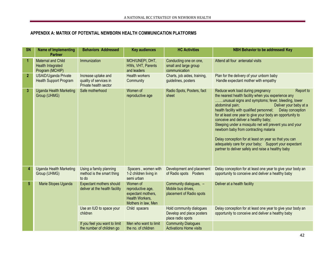# **APPENDIX A: MATRIX OF POTENTIAL NEWBORN HEALTH COMMUNICATION PLATFORMS**

| <b>SN</b>      | <b>Name of Implementing</b><br><b>Partner</b>                            | <b>Behaviors Addressed</b>                                             | <b>Key audiences</b>                                                                          | <b>HC Activities</b>                                                       | <b>NBH Behavior to be addressed/Key</b>                                                                                                                                                                                                                                                                                                                                                                                                                                                                                                                                                                                                                    |
|----------------|--------------------------------------------------------------------------|------------------------------------------------------------------------|-----------------------------------------------------------------------------------------------|----------------------------------------------------------------------------|------------------------------------------------------------------------------------------------------------------------------------------------------------------------------------------------------------------------------------------------------------------------------------------------------------------------------------------------------------------------------------------------------------------------------------------------------------------------------------------------------------------------------------------------------------------------------------------------------------------------------------------------------------|
| 1              | <b>Maternal and Child</b><br><b>Health Integrated</b><br>Program (MCHIP) | Immunization                                                           | MOH/UNEPI, DHT,<br>HWs, VHT, Parents<br>and leaders                                           | Conducting one on one,<br>small and large group<br>communication           | Attend all four antenatal visits                                                                                                                                                                                                                                                                                                                                                                                                                                                                                                                                                                                                                           |
| $\overline{2}$ | <b>USAID/Uganda Private</b><br><b>Health Support Program</b>             | Increase uptake and<br>quality of services in<br>Private health sector | <b>Health workers</b><br>Community                                                            | Charts, job aides, training,<br>guidelines, posters                        | Plan for the delivery of your unborn baby<br>Handle expectant mother with empathy                                                                                                                                                                                                                                                                                                                                                                                                                                                                                                                                                                          |
| $\overline{3}$ | <b>Uganda Health Marketing</b><br>Group (UHMG)                           | Safe motherhood                                                        | Women of<br>reproductive age                                                                  | Radio Spots, Posters, fact<br>sheet                                        | Reduce work load during pregnancy<br>Report to<br>the nearest health facility when you experience any<br>unusual signs and symptoms; fever, bleeding, lower<br>abdominal pain;<br>Deliver your baby at a<br>health facility with qualified personnel;<br>Delay conception<br>for at least one year to give your body an opportunity to<br>conceive and deliver a healthy baby;<br>Sleeping under a mosquito net will prevent you and your<br>newborn baby from contracting malaria<br>Delay conception for at least on year so that you can<br>adequately care for your baby; Support your expectant<br>partner to deliver safely and raise a healthy baby |
| 4              | <b>Uganda Health Marketing</b><br>Group (UHMG)                           | Using a family planning<br>method is the smart thing<br>to do          | Spacers, women with<br>1-2 children living in<br>semi urban                                   | Development and placement<br>of Radio spots Posters                        | Delay conception for at least one year to give your body an<br>opportunity to conceive and deliver a healthy baby                                                                                                                                                                                                                                                                                                                                                                                                                                                                                                                                          |
| 5              | Marie Stopes Uganda                                                      | <b>Expectant mothers should</b><br>deliver at the health facility      | Women of<br>reproductive age,<br>expectant mothers,<br>Health Workers,<br>Mothers in law, Men | Community dialogues, -<br>Mobile bus drives,<br>placement of Radio spots   | Deliver at a health facility                                                                                                                                                                                                                                                                                                                                                                                                                                                                                                                                                                                                                               |
|                |                                                                          | Use an IUD to space your<br>children                                   | Child spacers                                                                                 | Hold community dialogues<br>Develop and place posters<br>place radio spots | Delay conception for at least one year to give your body an<br>opportunity to conceive and deliver a healthy baby                                                                                                                                                                                                                                                                                                                                                                                                                                                                                                                                          |
|                |                                                                          | If you feel you want to limit<br>the number of children go             | Men who want to limit<br>the no. of children                                                  | <b>Community Dialogues</b><br><b>Activations Home visits</b>               |                                                                                                                                                                                                                                                                                                                                                                                                                                                                                                                                                                                                                                                            |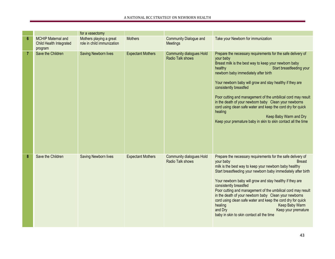|                |                                                                        | for a vasectomy                                       |                          |                                                            |                                                                                                                                                                                                                                                                                                                                                                                                                                                                                                                                                                                                                |
|----------------|------------------------------------------------------------------------|-------------------------------------------------------|--------------------------|------------------------------------------------------------|----------------------------------------------------------------------------------------------------------------------------------------------------------------------------------------------------------------------------------------------------------------------------------------------------------------------------------------------------------------------------------------------------------------------------------------------------------------------------------------------------------------------------------------------------------------------------------------------------------------|
| 6              | <b>MCHIP Maternal and</b><br><b>Child Health Integrated</b><br>program | Mothers playing a great<br>role in child immunization | <b>Mothers</b>           | <b>Community Dialogue and</b><br>Meetings                  | Take your Newborn for immunization                                                                                                                                                                                                                                                                                                                                                                                                                                                                                                                                                                             |
| $\overline{7}$ | Save the Children                                                      | Saving Newborn lives                                  | <b>Expectant Mothers</b> | <b>Community dialogues Hold</b><br><b>Radio Talk shows</b> | Prepare the necessary requirements for the safe delivery of<br>your baby<br>Breast milk is the best way to keep your newborn baby<br>Start breastfeeding your<br>healthy<br>newborn baby immediately after birth<br>Your newborn baby will grow and stay healthy if they are<br>consistently breastfed<br>Poor cutting and management of the umbilical cord may result<br>in the death of your newborn baby Clean your newborns<br>cord using clean safe water and keep the cord dry for quick<br>healing<br>Keep Baby Warm and Dry<br>Keep your premature baby in skin to skin contact all the time           |
| 8              | Save the Children                                                      | Saving Newborn lives                                  | <b>Expectant Mothers</b> | <b>Community dialogues Hold</b><br>Radio Talk shows        | Prepare the necessary requirements for the safe delivery of<br>your baby<br><b>Breast</b><br>milk is the best way to keep your newborn baby healthy<br>Start breastfeeding your newborn baby immediately after birth<br>Your newborn baby will grow and stay healthy if they are<br>consistently breastfed<br>Poor cutting and management of the umbilical cord may result<br>in the death of your newborn baby Clean your newborns<br>cord using clean safe water and keep the cord dry for quick<br>healing<br>Keep Baby Warm<br>and Dry<br>Keep your premature<br>baby in skin to skin contact all the time |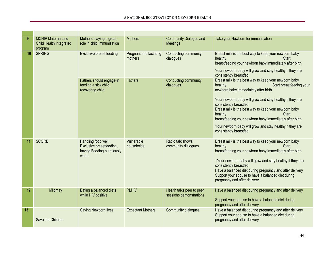| 9  | <b>MCHIP Maternal and</b><br>Child Health Integrated<br>program | Mothers playing a great<br>role in child immunisation                                  | <b>Mothers</b>                    | <b>Community Dialogue and</b><br>Meetings            | Take your Newborn for immunisation                                                                                                                                                                                                                                                                                                                                                   |
|----|-----------------------------------------------------------------|----------------------------------------------------------------------------------------|-----------------------------------|------------------------------------------------------|--------------------------------------------------------------------------------------------------------------------------------------------------------------------------------------------------------------------------------------------------------------------------------------------------------------------------------------------------------------------------------------|
| 10 | <b>SPRING</b>                                                   | <b>Exclusive breast feeding</b>                                                        | Pregnant and lactating<br>mothers | Conducting community<br>dialogues                    | Breast milk is the best way to keep your newborn baby<br><b>Start</b><br>healthy<br>breastfeeding your newborn baby immediately after birth<br>Your newborn baby will grow and stay healthy if they are<br>consistently breastfed                                                                                                                                                    |
|    |                                                                 | Fathers should engage in<br>feeding a sick child,<br>recovering child                  | <b>Fathers</b>                    | Conducting community<br>dialogues                    | Breast milk is the best way to keep your newborn baby<br>healthy<br>Start breastfeeding your<br>newborn baby immediately after birth                                                                                                                                                                                                                                                 |
|    |                                                                 |                                                                                        |                                   |                                                      | Your newborn baby will grow and stay healthy if they are<br>consistently breastfed<br>Breast milk is the best way to keep your newborn baby<br>healthy<br><b>Start</b><br>breastfeeding your newborn baby immediately after birth                                                                                                                                                    |
|    |                                                                 |                                                                                        |                                   |                                                      | Your newborn baby will grow and stay healthy if they are<br>consistently breastfed                                                                                                                                                                                                                                                                                                   |
| 11 | <b>SCORE</b>                                                    | Handling food well,<br>Exclusive breastfeeding,<br>having Feeding nutritiously<br>when | Vulnerable<br>households          | Radio talk shows,<br>community dialogues             | Breast milk is the best way to keep your newborn baby<br>healthy<br><b>Start</b><br>breastfeeding your newborn baby immediately after birth<br>1Your newborn baby will grow and stay healthy if they are<br>consistently breastfed<br>Have a balanced diet during pregnancy and after delivery<br>Support your spouse to have a balanced diet during<br>pregnancy and after delivery |
| 12 | Mildmay                                                         | Eating a balanced diets<br>while HIV positive                                          | <b>PLHIV</b>                      | Health talks peer to peer<br>sessions demonstrations | Have a balanced diet during pregnancy and after delivery<br>Support your spouse to have a balanced diet during<br>pregnancy and after delivery                                                                                                                                                                                                                                       |
| 13 | Save the Children                                               | Saving Newborn lives                                                                   | <b>Expectant Mothers</b>          | Community dialogues                                  | Have a balanced diet during pregnancy and after delivery<br>Support your spouse to have a balanced diet during<br>pregnancy and after delivery                                                                                                                                                                                                                                       |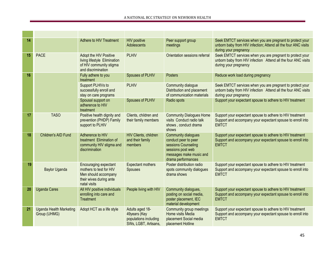m.

m.

| 14 |                                                | Adhere to HIV Treatment                                                                                             | <b>HIV positive</b><br>Adolescents                                               | Peer support group<br>meetings                                                                                                                  | Seek EMTCT services when you are pregnant to protect your<br>unborn baby from HIV infection; Attend all the four ANC visits<br>during your pregnancy |
|----|------------------------------------------------|---------------------------------------------------------------------------------------------------------------------|----------------------------------------------------------------------------------|-------------------------------------------------------------------------------------------------------------------------------------------------|------------------------------------------------------------------------------------------------------------------------------------------------------|
| 15 | <b>PACE</b>                                    | Adopt the HIV Positive<br>living lifestyle Elimination<br>of HIV community stigma<br>and discrimination             | <b>PLHIV</b>                                                                     | Orientation sessions referral                                                                                                                   | Seek EMTCT services when you are pregnant to protect your<br>unborn baby from HIV infection Attend all the four ANC visits<br>during your pregnancy  |
| 16 |                                                | Fully adhere to you<br>treatment                                                                                    | Spouses of PLHIV                                                                 | Posters                                                                                                                                         | Reduce work load during pregnancy                                                                                                                    |
|    |                                                | Support PLHIVs to<br>successfully enroll and<br>stay on care programs                                               | <b>PLHIV</b>                                                                     | Community dialogue<br>Distribution and placement<br>of communication materials                                                                  | Seek EMTCT services when you are pregnant to protect your<br>unborn baby from HIV infection Attend all the four ANC visits<br>during your pregnancy  |
|    |                                                | Spousal support on<br>adherence to HIV<br>treatment                                                                 | Spouses of PLHIV                                                                 | Radio spots                                                                                                                                     | Support your expectant spouse to adhere to HIV treatment                                                                                             |
| 17 | <b>TASO</b>                                    | Positive health dignity and<br>prevention (PHDP) Family<br>support to PLHIV                                         | Clients, children and<br>their family members                                    | <b>Community Dialogues Home</b><br>visits Conduct radio talk<br>shows, conduct drama<br>shows                                                   | Support your expectant spouse to adhere to HIV treatment<br>Support and accompany your expectant spouse to enroll into<br><b>EMTCT</b>               |
| 18 | Children's AID Fund                            | Adherence to HIV<br>treatment Elimination of<br>community HIV stigma and<br>discrimination                          | HIV Clients, children<br>and their family<br>members                             | <b>Community dialogues</b><br>conduct peer to peer<br>sessions Counseling<br>sessions post web<br>messages make music and<br>drama performances | Support your expectant spouse to adhere to HIV treatment<br>Support and accompany your expectant spouse to enroll into<br><b>EMTCT</b>               |
| 19 | <b>Baylor Uganda</b>                           | Encouraging expectant<br>mothers to test for HIV<br>Men should accompany<br>their wives during ante<br>natal visits | <b>Expectant mothers</b><br>Spouses                                              | Poster distribution radio<br>spots community dialogues<br>drama shows                                                                           | Support your expectant spouse to adhere to HIV treatment<br>Support and accompany your expectant spouse to enroll into<br><b>EMTCT</b>               |
| 20 | <b>Uganda Cares</b>                            | All HIV positive individuals<br>enrolling into care and<br>Treatment                                                | People living with HIV                                                           | Community dialogues,<br>posting on social media,<br>poster placement, IEC<br>material development                                               | Support your expectant spouse to adhere to HIV treatment<br>Support and accompany your expectant spouse to enroll into<br><b>EMTCT</b>               |
| 21 | <b>Uganda Health Marketing</b><br>Group (UHMG) | Adopt HCT as a life style                                                                                           | Adults aged 18-<br>49years (Key<br>populations including<br>SWs, LGBT, Artisans, | Community group meetings<br>Home visits Media<br>placement Social media<br>placement Hotline                                                    | Support your expectant spouse to adhere to HIV treatment<br>Support and accompany your expectant spouse to enroll into<br><b>EMTCT</b>               |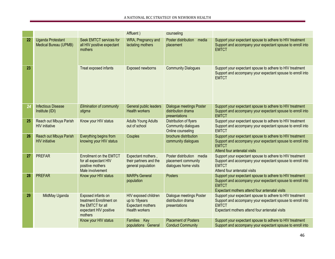|    |                                                          |                                                                                                         | Affluent)                                                                                  | counseling                                                                |                                                                                                                                                                                          |
|----|----------------------------------------------------------|---------------------------------------------------------------------------------------------------------|--------------------------------------------------------------------------------------------|---------------------------------------------------------------------------|------------------------------------------------------------------------------------------------------------------------------------------------------------------------------------------|
| 22 | <b>Uganda Protestant</b><br><b>Medical Bureau (UPMB)</b> | Seek EMTCT services for<br>all HIV positive expectant<br>mothers                                        | WRA, Pregnancy and<br>lactating mothers                                                    | Poster distribution<br>media<br>placement                                 | Support your expectant spouse to adhere to HIV treatment<br>Support and accompany your expectant spouse to enroll into<br><b>EMTCT</b>                                                   |
| 23 |                                                          | Treat exposed infants                                                                                   | Exposed newborns                                                                           | <b>Community Dialogues</b>                                                | Support your expectant spouse to adhere to HIV treatment<br>Support and accompany your expectant spouse to enroll into<br><b>EMTCT</b>                                                   |
| 24 | <b>Infectious Disease</b><br>Institute (IDI)             | Elimination of community<br>stigma                                                                      | General public leaders<br><b>Health workers</b>                                            | <b>Dialogue meetings Poster</b><br>distribution drama<br>presentations    | Support your expectant spouse to adhere to HIV treatment<br>Support and accompany your expectant spouse to enroll into<br><b>EMTCT</b>                                                   |
| 25 | Reach out Mbuya Parish<br><b>HIV</b> initiative          | Know your HIV status                                                                                    | <b>Adults Young Adults</b><br>out of school                                                | Distribution of flyers<br>Community dialogues<br>Online counseling        | Support your expectant spouse to adhere to HIV treatment<br>Support and accompany your expectant spouse to enroll into<br><b>EMTCT</b>                                                   |
| 26 | Reach out Mbuya Parish<br><b>HIV</b> initiative          | Everything begins from<br>knowing your HIV status                                                       | Couples                                                                                    | brochure distribution<br>community dialogues                              | Support your expectant spouse to adhere to HIV treatment<br>Support and accompany your expectant spouse to enroll into<br><b>EMTCT</b><br>Attend four antenatal visits                   |
| 27 | <b>PREFAR</b>                                            | <b>Enrollment on the EMTCT</b><br>for all expectant HIV<br>positive mothers<br>Male involvement         | Expectant mothers,<br>their partners and the<br>general population                         | Poster distribution media<br>placement community<br>dialogues home visits | Support your expectant spouse to adhere to HIV treatment<br>Support and accompany your expectant spouse to enroll into<br><b>EMTCT</b><br>Attend four antenatal visits                   |
| 28 | <b>PREFAR</b>                                            | Know your HIV status                                                                                    | <b>MARPs General</b><br>population                                                         | <b>Posters</b>                                                            | Support your expectant spouse to adhere to HIV treatment<br>Support and accompany your expectant spouse to enroll into<br><b>EMTCT</b><br>Expectant mothers attend four antenatal visits |
| 29 | MildMay Uganda                                           | Exposed infants on<br>treatment Enrollment on<br>the EMTCT for all<br>expectant HIV positive<br>mothers | HIV exposed children<br>up to 18years<br><b>Expectant mothers</b><br><b>Health workers</b> | <b>Dialogue meetings Poster</b><br>distribution drama<br>presentations    | Support your expectant spouse to adhere to HIV treatment<br>Support and accompany your expectant spouse to enroll into<br><b>EMTCT</b><br>Expectant mothers attend four antenatal visits |
|    |                                                          | Know your HIV status                                                                                    | <b>Families</b><br>Key<br>populations General                                              | <b>Placement of Posters</b><br><b>Conduct Community</b>                   | Support your expectant spouse to adhere to HIV treatment<br>Support and accompany your expectant spouse to enroll into                                                                   |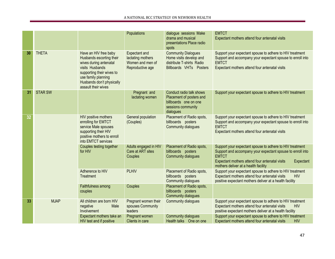|    |                |                                                                                                                                                                                                        | Populations                                                                       | dialogue sessions Make<br>drama and musical<br>presentations Place radio<br>spots                                | <b>EMTCT</b><br>Expectant mothers attend four antenatal visits                                                                                                                                                                                |
|----|----------------|--------------------------------------------------------------------------------------------------------------------------------------------------------------------------------------------------------|-----------------------------------------------------------------------------------|------------------------------------------------------------------------------------------------------------------|-----------------------------------------------------------------------------------------------------------------------------------------------------------------------------------------------------------------------------------------------|
| 30 | <b>THETA</b>   | Have an HIV free baby<br>Husbands escorting their<br>wives during antenatal<br>visits Husbands<br>supporting their wives to<br>use family planning<br>Husbands don't physically<br>assault their wives | <b>Expectant and</b><br>lactating mothers<br>Women and men of<br>Reproductive age | <b>Community Dialogues</b><br>Home visits develop and<br>distribute T-shirts Radio<br>Billboards VHTs Posters    | Support your expectant spouse to adhere to HIV treatment<br>Support and accompany your expectant spouse to enroll into<br><b>EMTCT</b><br>Expectant mothers attend four antenatal visits                                                      |
| 31 | <b>STAR SW</b> |                                                                                                                                                                                                        | Pregnant and<br>lactating women                                                   | Conduct radio talk shows<br>Placement of posters and<br>billboards one on one<br>sessions community<br>dialogues | Support your expectant spouse to adhere to HIV treatment                                                                                                                                                                                      |
| 32 |                | HIV positive mothers<br>enrolling for EMTCT<br>service Male spouses<br>supporting their HIV<br>positive mothers to enroll<br>into EMTCT services                                                       | General population<br>(Couples)                                                   | Placement of Radio spots,<br>billboards posters<br>Community dialogues                                           | Support your expectant spouse to adhere to HIV treatment<br>Support and accompany your expectant spouse to enroll into<br><b>EMTCT</b><br>Expectant mothers attend four antenatal visits                                                      |
|    |                | Couples testing together<br>for HIV                                                                                                                                                                    | Adults engaged in HIV<br>Care at ART sites<br>Couples                             | Placement of Radio spots,<br>billboards posters<br>Community dialogues                                           | Support your expectant spouse to adhere to HIV treatment<br>Support and accompany your expectant spouse to enroll into<br><b>EMTCT</b><br>Expectant mothers attend four antenatal visits<br>Expectant<br>mothers deliver at a health facility |
|    |                | Adherence to HIV<br>Treatment                                                                                                                                                                          | <b>PLHIV</b>                                                                      | Placement of Radio spots,<br>billboards posters<br>Community dialogues                                           | Support your expectant spouse to adhere to HIV treatment<br>Expectant mothers attend four antenatal visits<br><b>HIV</b><br>positive expectant mothers deliver at a health facility                                                           |
|    |                | Faithfulness among<br>couples                                                                                                                                                                          | Couples                                                                           | Placement of Radio spots,<br>billboards posters<br>Community dialogues                                           |                                                                                                                                                                                                                                               |
| 33 | <b>MJAP</b>    | All children are born HIV<br>negative<br>Male<br>Involvement                                                                                                                                           | Pregnant women their<br>spouses Community<br>leaders                              | Community dialogues                                                                                              | Support your expectant spouse to adhere to HIV treatment<br>Expectant mothers attend four antenatal visits<br><b>HIV</b><br>positive expectant mothers deliver at a health facility                                                           |
|    |                | Expectant mothers take an<br>HIV test and if positive                                                                                                                                                  | Pregnant women<br>Clients in care                                                 | <b>Community dialogues</b><br>Health talks One on one                                                            | Support your expectant spouse to adhere to HIV treatment<br><b>HIV</b><br>Expectant mothers attend four antenatal visits                                                                                                                      |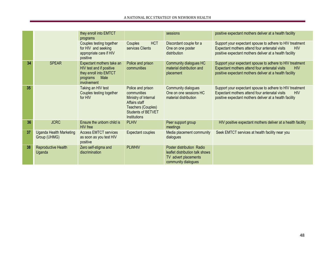|    |                                                | they enroll into EMTCT<br>programs                                                                                 |                                                                                                                                              | sessions                                                                                                    | positive expectant mothers deliver at a health facility                                                                                                                             |
|----|------------------------------------------------|--------------------------------------------------------------------------------------------------------------------|----------------------------------------------------------------------------------------------------------------------------------------------|-------------------------------------------------------------------------------------------------------------|-------------------------------------------------------------------------------------------------------------------------------------------------------------------------------------|
|    |                                                | Couples testing together<br>for HIV and seeking<br>appropriate care if HIV<br>positive                             | <b>HCT</b><br>Couples<br>services Clients                                                                                                    | Discordant couple for a<br>One on one poster<br>distribution                                                | Support your expectant spouse to adhere to HIV treatment<br>Expectant mothers attend four antenatal visits<br><b>HIV</b><br>positive expectant mothers deliver at a health facility |
| 34 | <b>SPEAR</b>                                   | Expectant mothers take an<br>HIV test and if positive<br>they enroll into EMTCT<br>Male<br>programs<br>involvement | Police and prison<br>communities                                                                                                             | Community dialogues HC<br>material distribution and<br>placement                                            | Support your expectant spouse to adhere to HIV treatment<br>Expectant mothers attend four antenatal visits<br><b>HIV</b><br>positive expectant mothers deliver at a health facility |
| 35 |                                                | Taking an HIV test<br>Couples testing together<br>for HIV                                                          | Police and prison<br>communities<br>Ministry of Internal<br>Affairs staff<br>Teachers (Couples)<br><b>Students of BETVET</b><br>Institutions | Community dialogues<br>One on one sessions HC<br>material distribution                                      | Support your expectant spouse to adhere to HIV treatment<br>Expectant mothers attend four antenatal visits<br><b>HIV</b><br>positive expectant mothers deliver at a health facility |
| 36 | <b>JCRC</b>                                    | Ensure the unborn child is<br><b>HIV</b> free                                                                      | <b>PLHIV</b>                                                                                                                                 | Peer support group<br>meetings                                                                              | HIV positive expectant mothers deliver at a health facility                                                                                                                         |
| 37 | <b>Uganda Health Marketing</b><br>Group (UHMG) | <b>Access EMTCT services</b><br>as soon as you test HIV<br>positive                                                | Expectant couples                                                                                                                            | Media placement community<br>dialogues                                                                      | Seek EMTCT services at health facility near you                                                                                                                                     |
| 38 | Reproductive Health<br>Uganda                  | Zero self-stigma and<br>discrimination                                                                             | <b>PLWHIV</b>                                                                                                                                | Poster distribution Radio<br>leaflet distribution talk shows<br>TV advert placements<br>community dialogues |                                                                                                                                                                                     |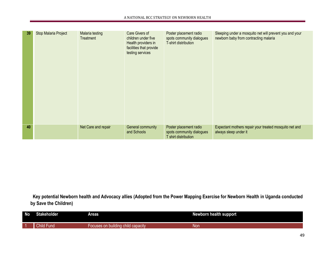| 39 | Stop Malaria Project | Malaria testing<br>Treatment | Care Givers of<br>children under five<br>Health providers in<br>facilities that provide<br>testing services | Poster placement radio<br>spots community dialogues<br>T-shirt distribution | Sleeping under a mosquito net will prevent you and your<br>newborn baby from contracting malaria |
|----|----------------------|------------------------------|-------------------------------------------------------------------------------------------------------------|-----------------------------------------------------------------------------|--------------------------------------------------------------------------------------------------|
| 40 |                      | Net Care and repair          | General community<br>and Schools                                                                            | Poster placement radio<br>spots community dialogues<br>T shirt distribution | Expectant mothers repair your treated mosquito net and<br>always sleep under it                  |

**Key potential Newborn health and Advocacy allies (Adopted from the Power Mapping Exercise for Newborn Health in Uganda conducted by Save the Children)**

| <b>No</b> | <b>Stakeholder</b> | Areas                                       | <b>Newborn health support</b> |
|-----------|--------------------|---------------------------------------------|-------------------------------|
| 1 - 41    | und                | capacity<br><b>Juilding</b><br>child<br>ההי | Nor                           |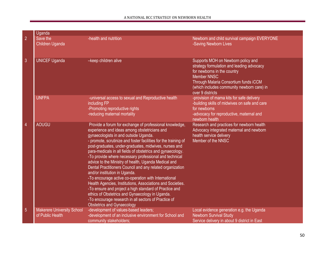|                | Uganda                                                |                                                                                                                                                                                                                                                                                                                                                                                                                                                                                                                                                                                                                                                                                                                                                                                                                                                                                            |                                                                                                                                                                                                                                                 |
|----------------|-------------------------------------------------------|--------------------------------------------------------------------------------------------------------------------------------------------------------------------------------------------------------------------------------------------------------------------------------------------------------------------------------------------------------------------------------------------------------------------------------------------------------------------------------------------------------------------------------------------------------------------------------------------------------------------------------------------------------------------------------------------------------------------------------------------------------------------------------------------------------------------------------------------------------------------------------------------|-------------------------------------------------------------------------------------------------------------------------------------------------------------------------------------------------------------------------------------------------|
| $\overline{2}$ | Save the<br>Children Uganda                           | -health and nutrition                                                                                                                                                                                                                                                                                                                                                                                                                                                                                                                                                                                                                                                                                                                                                                                                                                                                      | Newborn and child survival campaign EVERYONE<br>-Saving Newborn Lives                                                                                                                                                                           |
| 3              | <b>UNICEF Uganda</b>                                  | -keep children alive                                                                                                                                                                                                                                                                                                                                                                                                                                                                                                                                                                                                                                                                                                                                                                                                                                                                       | Supports MOH on Newborn policy and<br>strategy formulation and leading advocacy<br>for newborns in the country<br><b>Member NNSC</b><br>Through Malaria Consortium funds iCCM<br>(which includes community newborn care) in<br>over 9 districts |
|                | <b>UNFPA</b>                                          | -universal access to sexual and Reproductive health<br>including FP<br>-Promoting reproductive rights<br>-reducing maternal mortality                                                                                                                                                                                                                                                                                                                                                                                                                                                                                                                                                                                                                                                                                                                                                      | -provision of mama kits for safe delivery<br>-building skills of midwives on safe and care<br>for newborns<br>-advocacy for reproductive, maternal and<br>newborn health                                                                        |
| $\overline{4}$ | <b>AOUGU</b>                                          | Provide a forum for exchange of professional knowledge,<br>experience and ideas among obstetricians and<br>gynaecologists in and outside Uganda.<br>- promote, scrutinize and foster facilities for the training of<br>post-graduates, under-graduates, midwives, nurses and<br>para-medicals in all fields of obstetrics and gynaecology.<br>-To provide where necessary professional and technical<br>advice to the Ministry of health, Uganda Medical and<br>Dental Practitioners Council and any related organization<br>and/or institution in Uganda.<br>-To encourage active co-operation with International<br>Health Agencies, Institutions, Associations and Societies.<br>-To ensure and project a high standard of Practice and<br>ethics of Obstetrics and Gynaecology in Uganda.<br>-To encourage research in all sectors of Practice of<br><b>Obstetrics and Gynaecology</b> | Research and practices for newborn health<br>Advocacy integrated maternal and newborn<br>health service delivery<br>Member of the NNSC                                                                                                          |
| $\overline{5}$ | <b>Makerere University School</b><br>of Public Health | -development of values-based leaders;<br>-development of an inclusive environment for School and<br>community stakeholders;                                                                                                                                                                                                                                                                                                                                                                                                                                                                                                                                                                                                                                                                                                                                                                | Local evidence generation e.g. the Uganda<br><b>Newborn Survival Study</b><br>Service delivery in about 9 district in East                                                                                                                      |